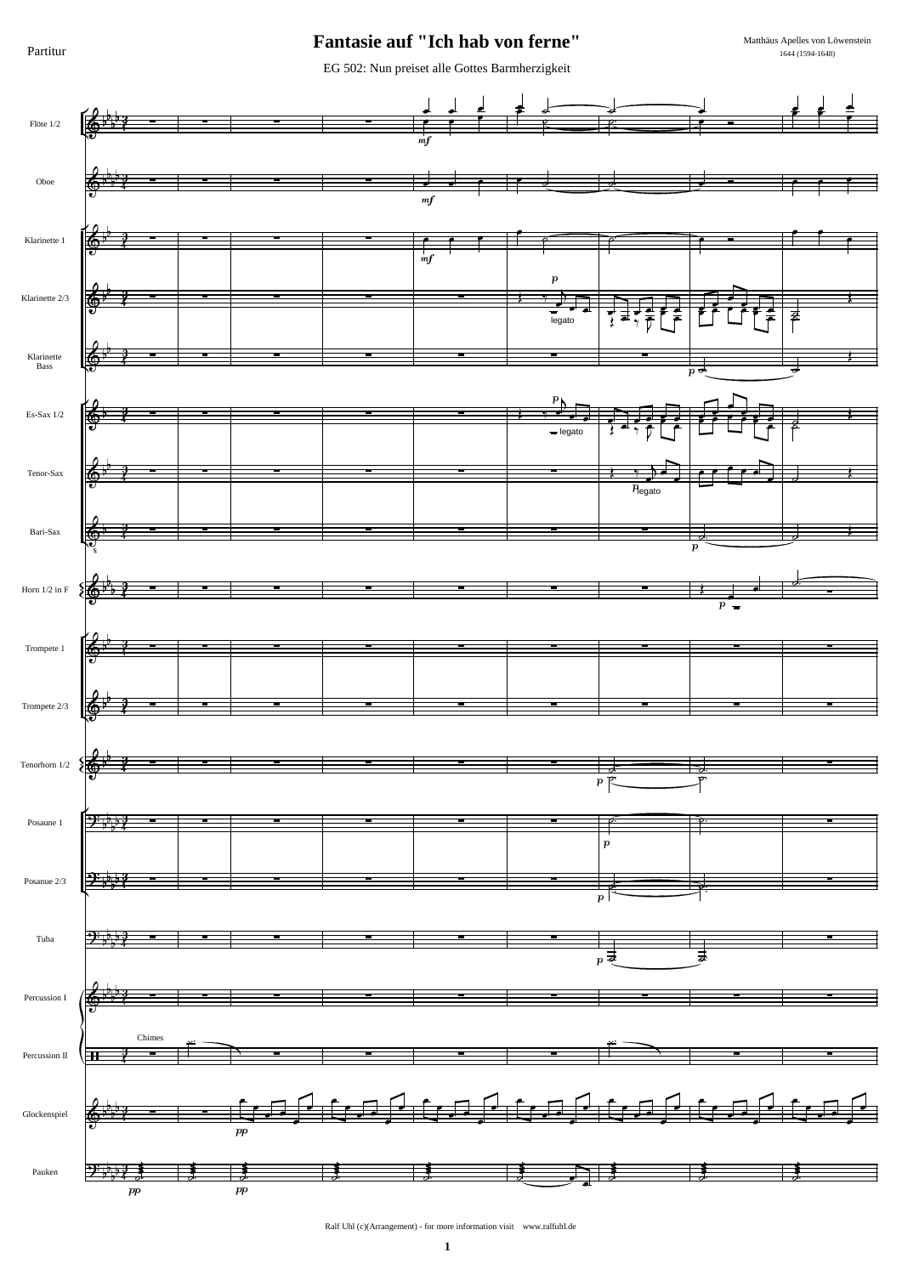Partitur

#### Fantasie auf "Ich hab von ferne"

Matthäus Apelles von Löwenstein 1644 (1594-1648)

EG 502: Nun preiset alle Gottes Barmherzigkeit



Ralf Uhl (c)(Arrangement) - for more information visit www.ralfuhl.de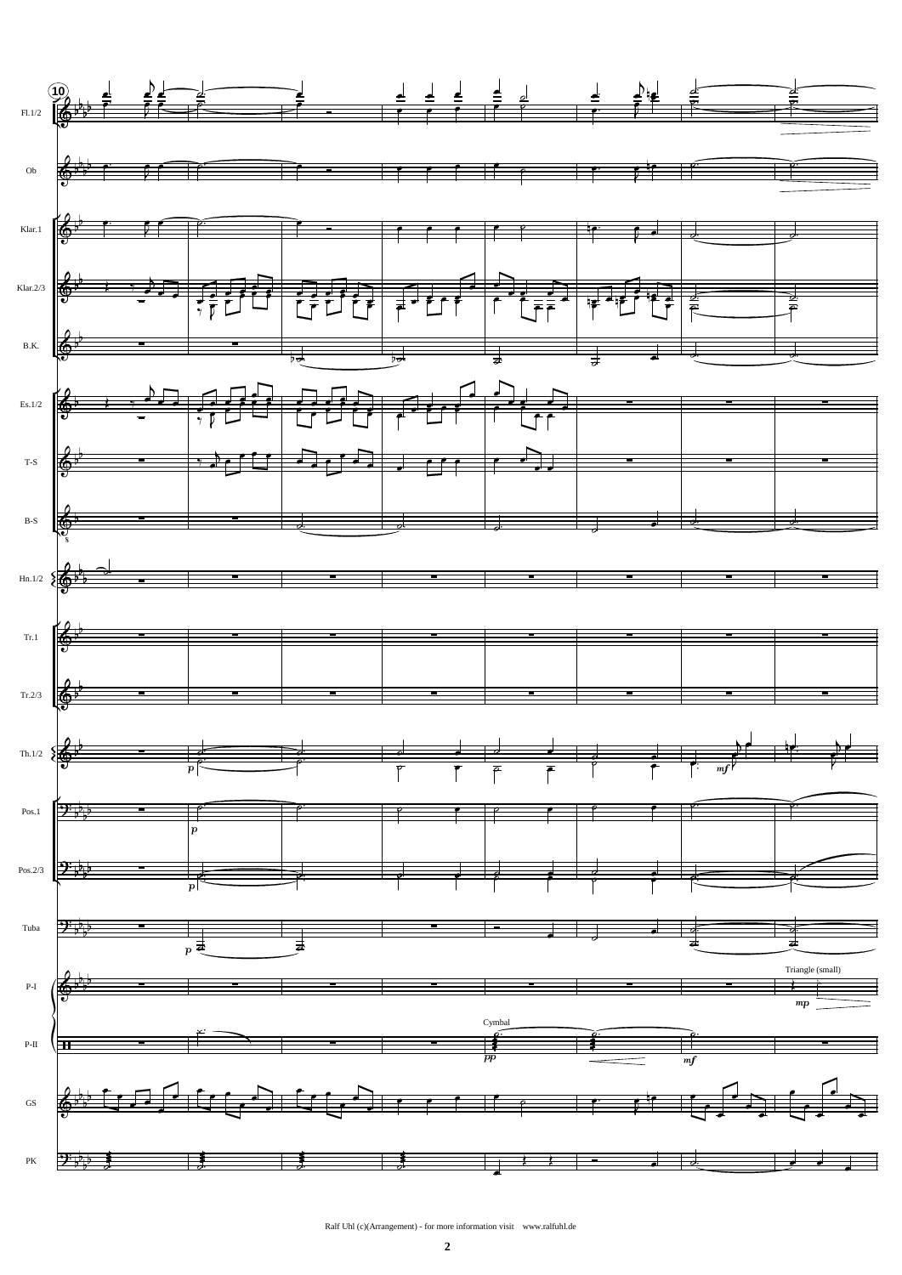

Ralf Uhl (c)(Arrangement) - for more information visit www.ralfuhl.de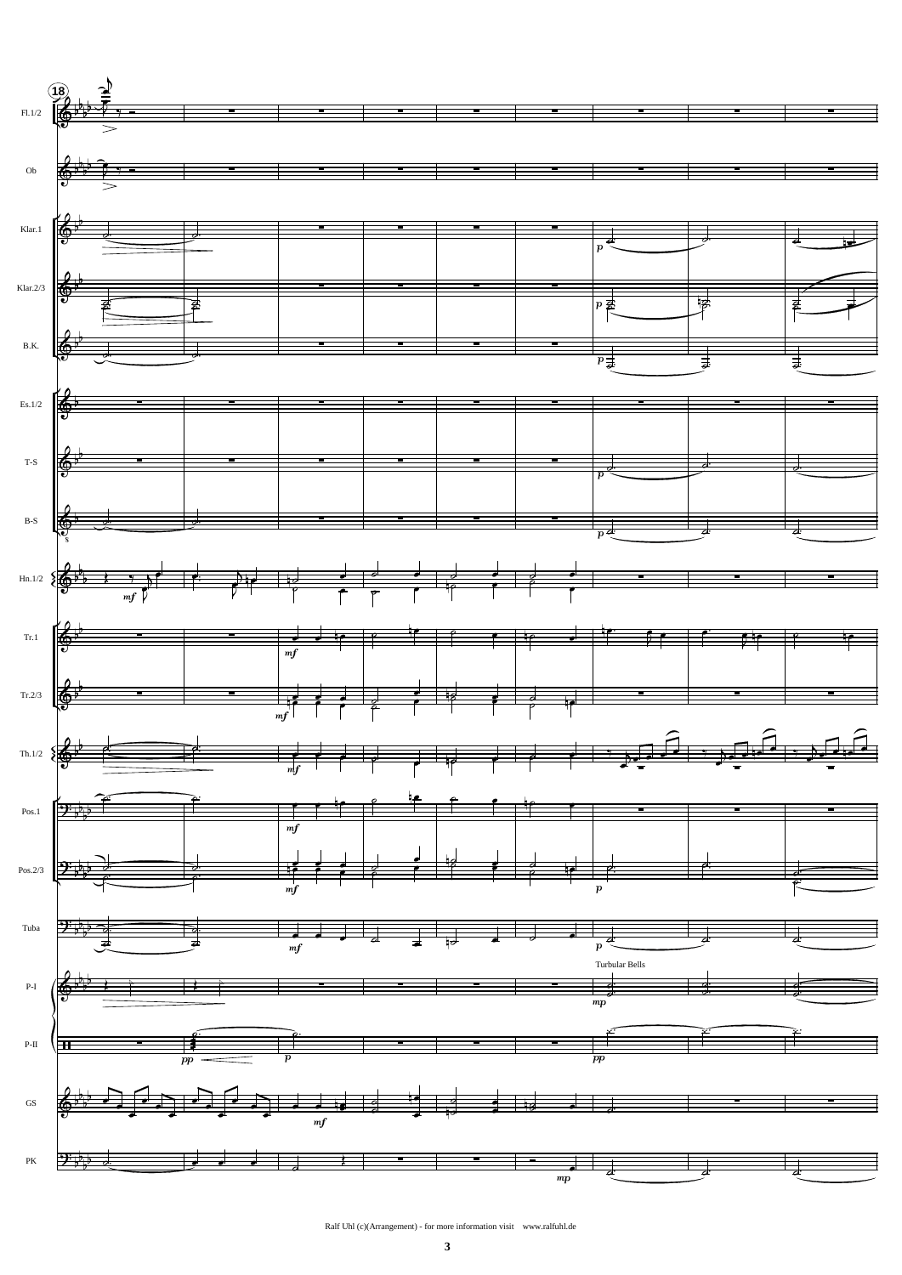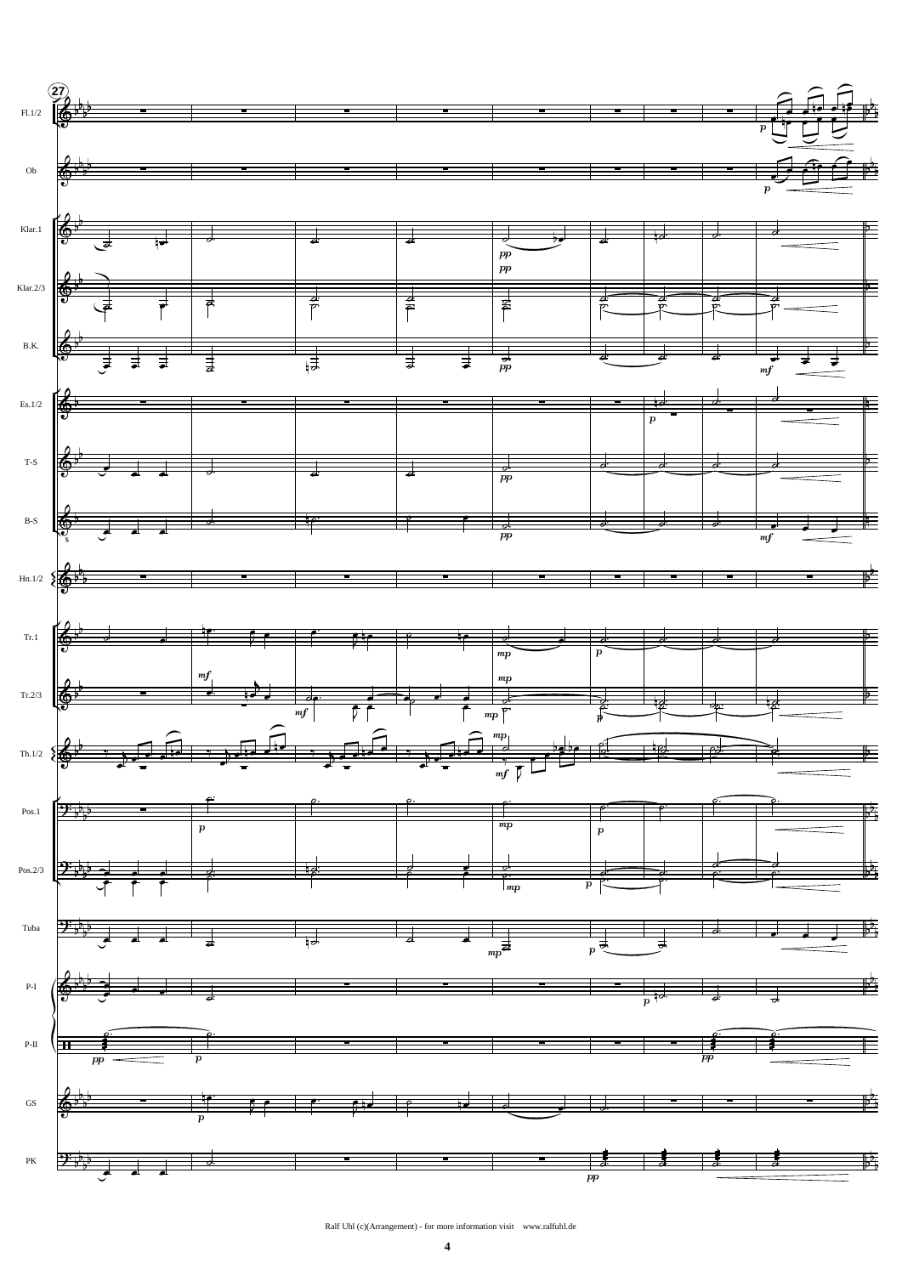



Ralf Uhl (c)(Arrangement) - for more information visit www.ralfuhl.de

 $\overline{\mathbf{4}}$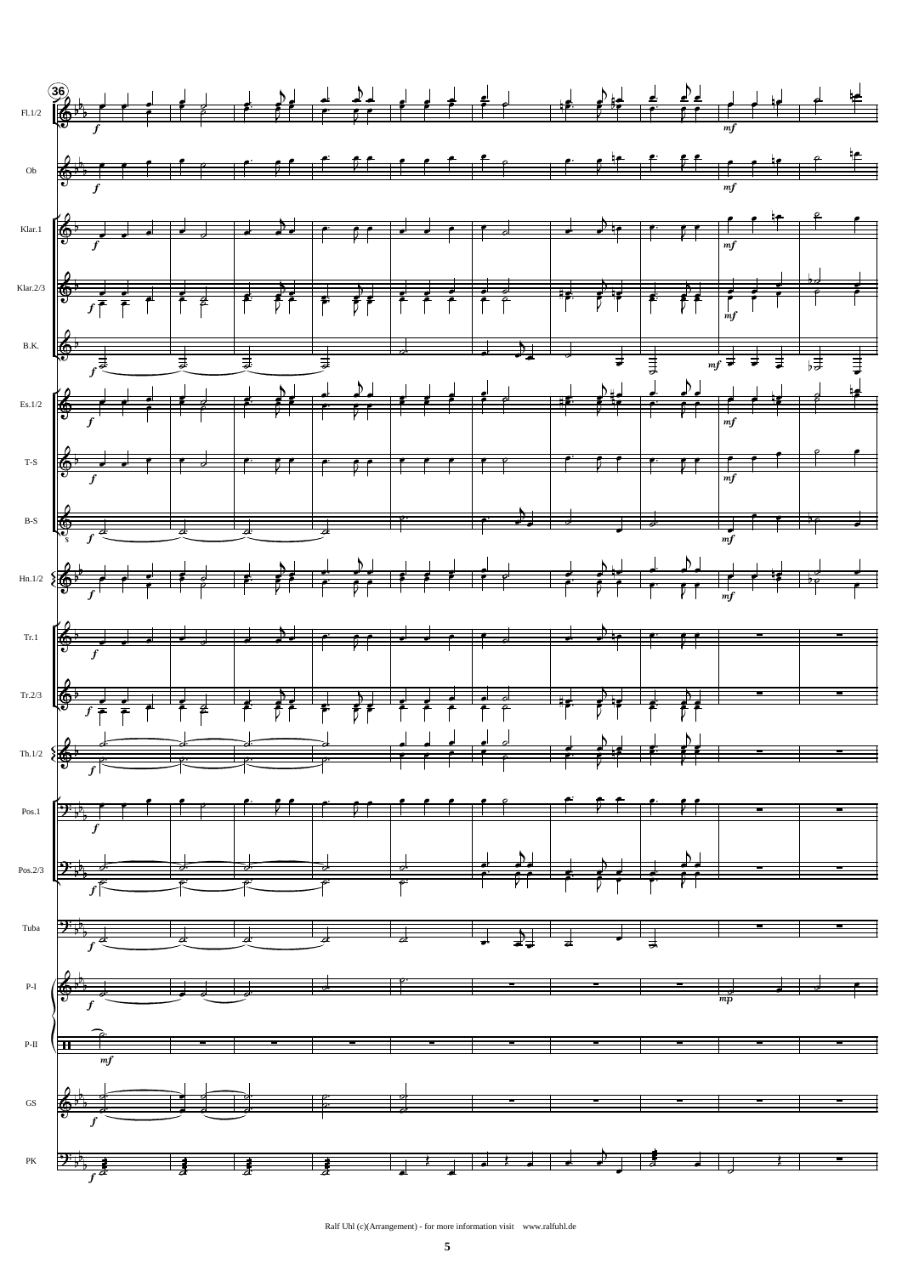

Ralf Uhl (c)(Arrangement) - for more information visit www.ralfuhl.de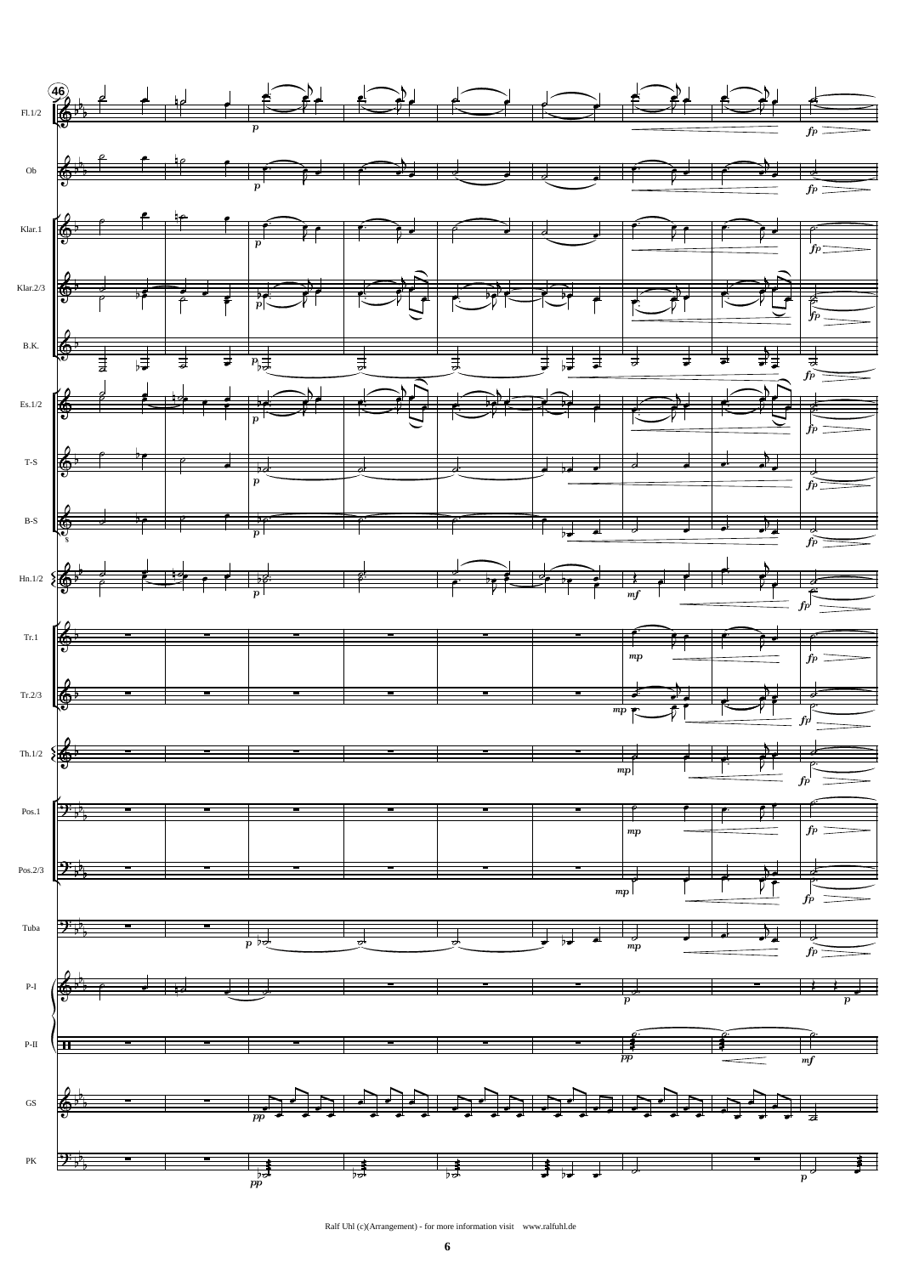



Ralf Uhl (c)(Arrangement) - for more information visit www.ralfuhl.de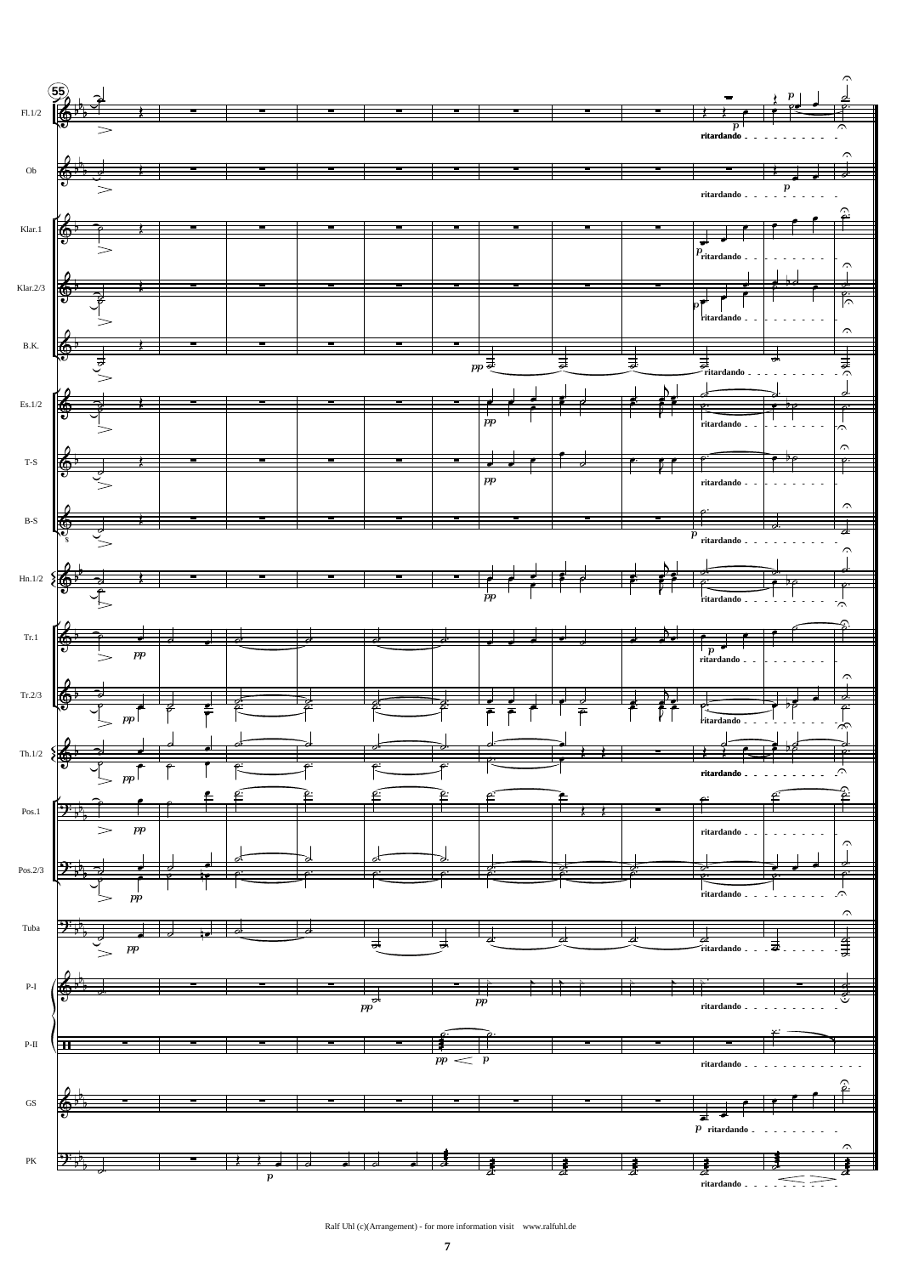

Ralf Uhl (c)(Arrangement) - for more information visit www.ralfuhl.de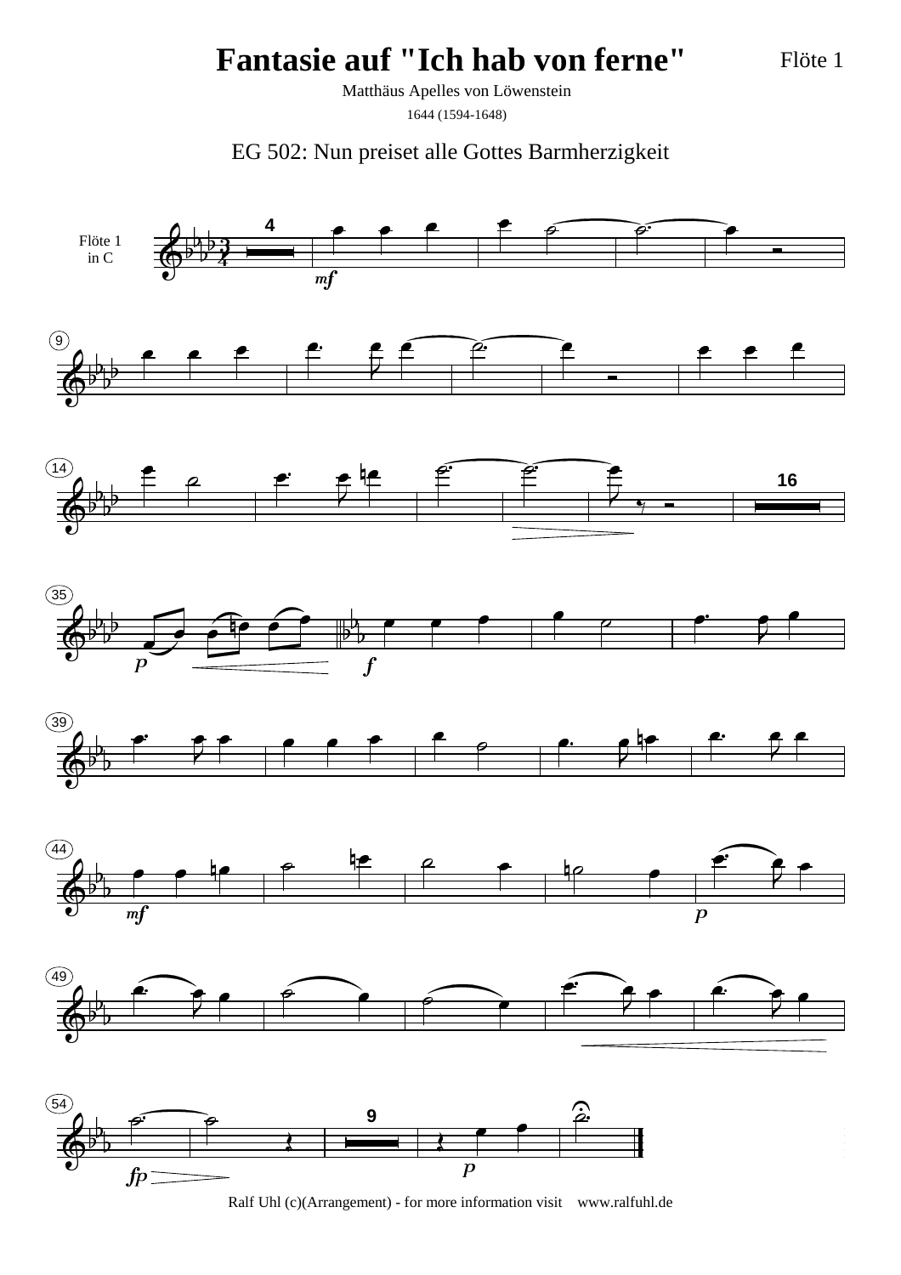Flöte 1

Matthäus Apelles von Löwenstein

1644 (1594-1648)

EG 502: Nun preiset alle Gottes Barmherzigkeit

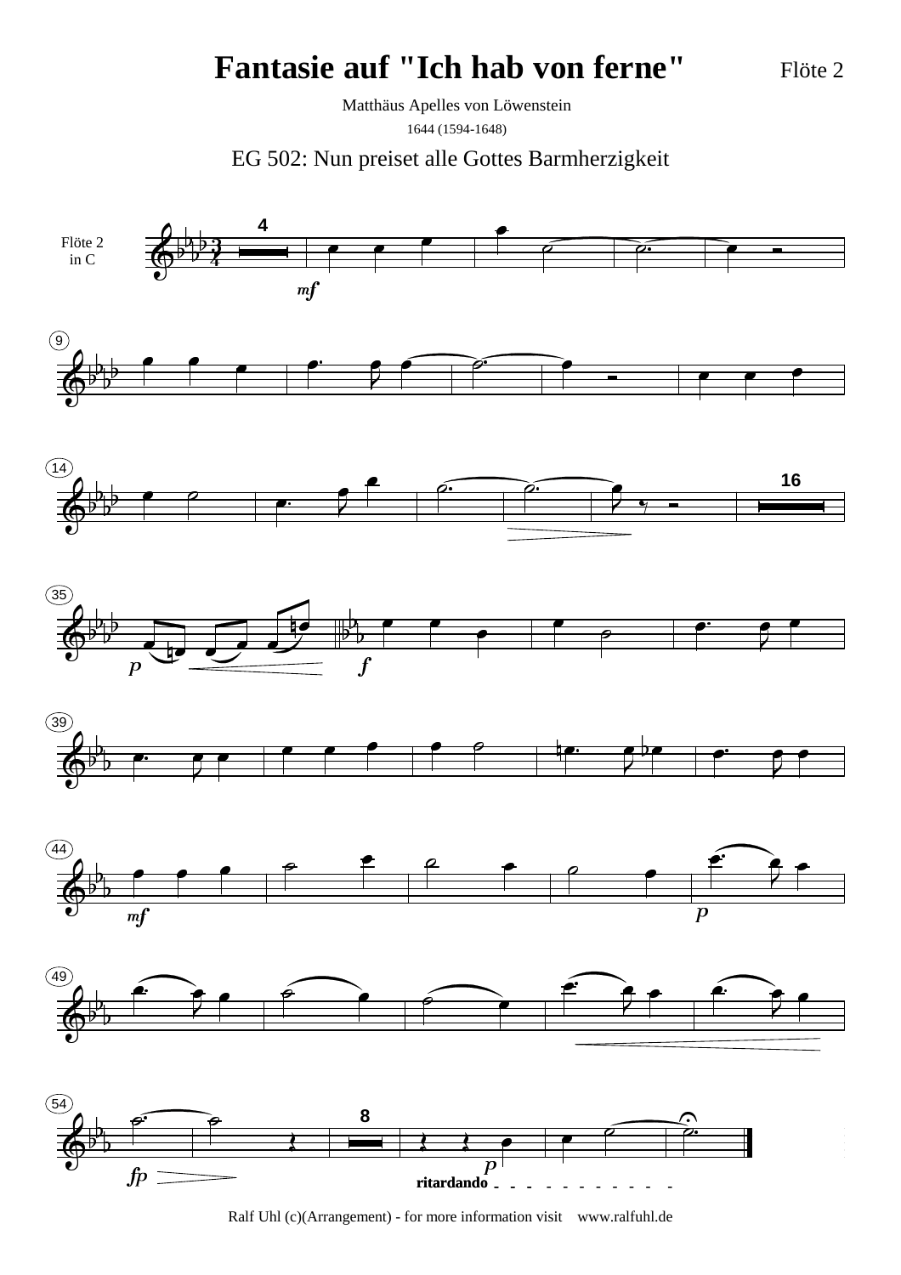Flöte 2

Matthäus Apelles von Löwenstein 1644 (1594-1648)

EG 502: Nun preiset alle Gottes Barmherzigkeit

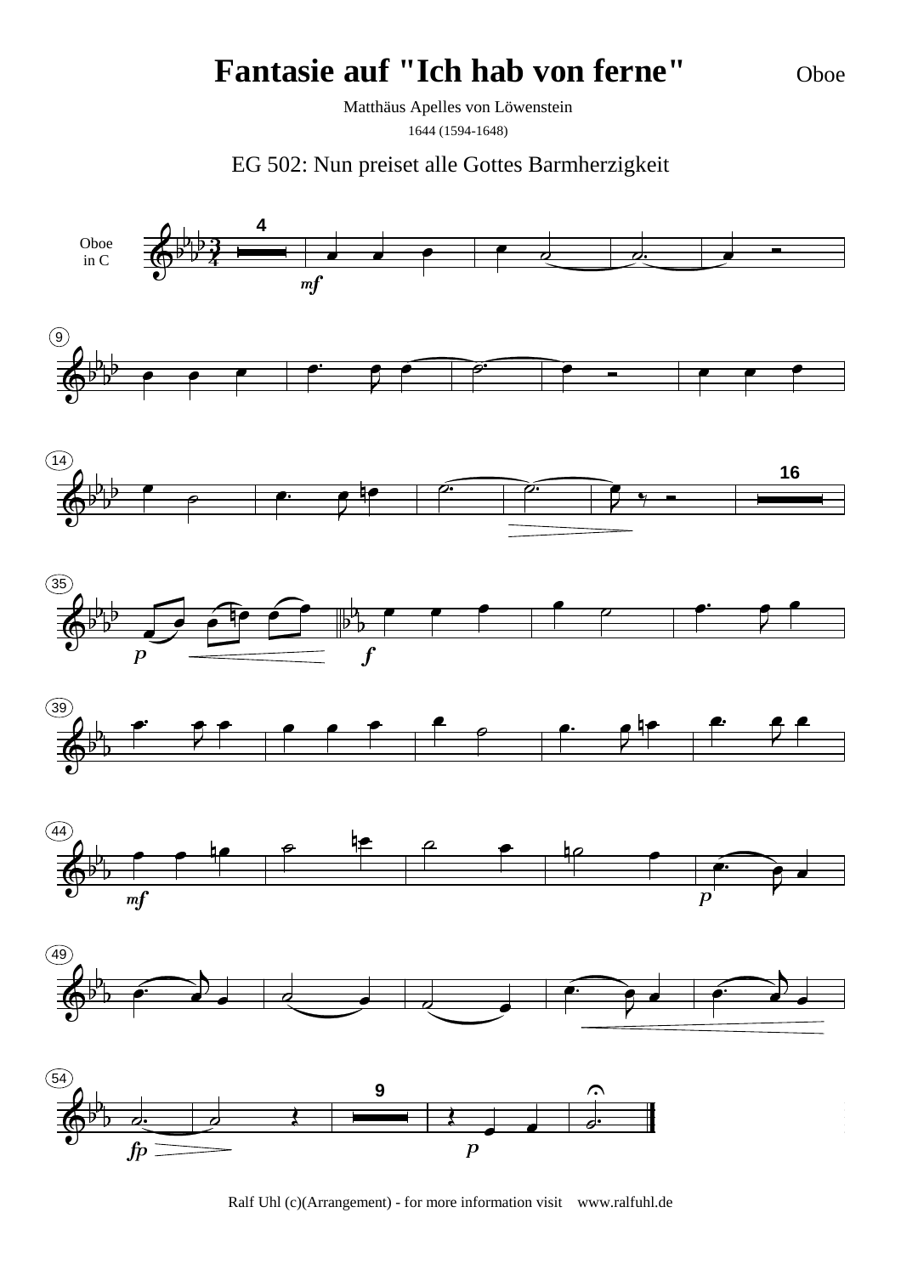Oboe

Matthäus Apelles von Löwenstein 1644 (1594-1648)

EG 502: Nun preiset alle Gottes Barmherzigkeit

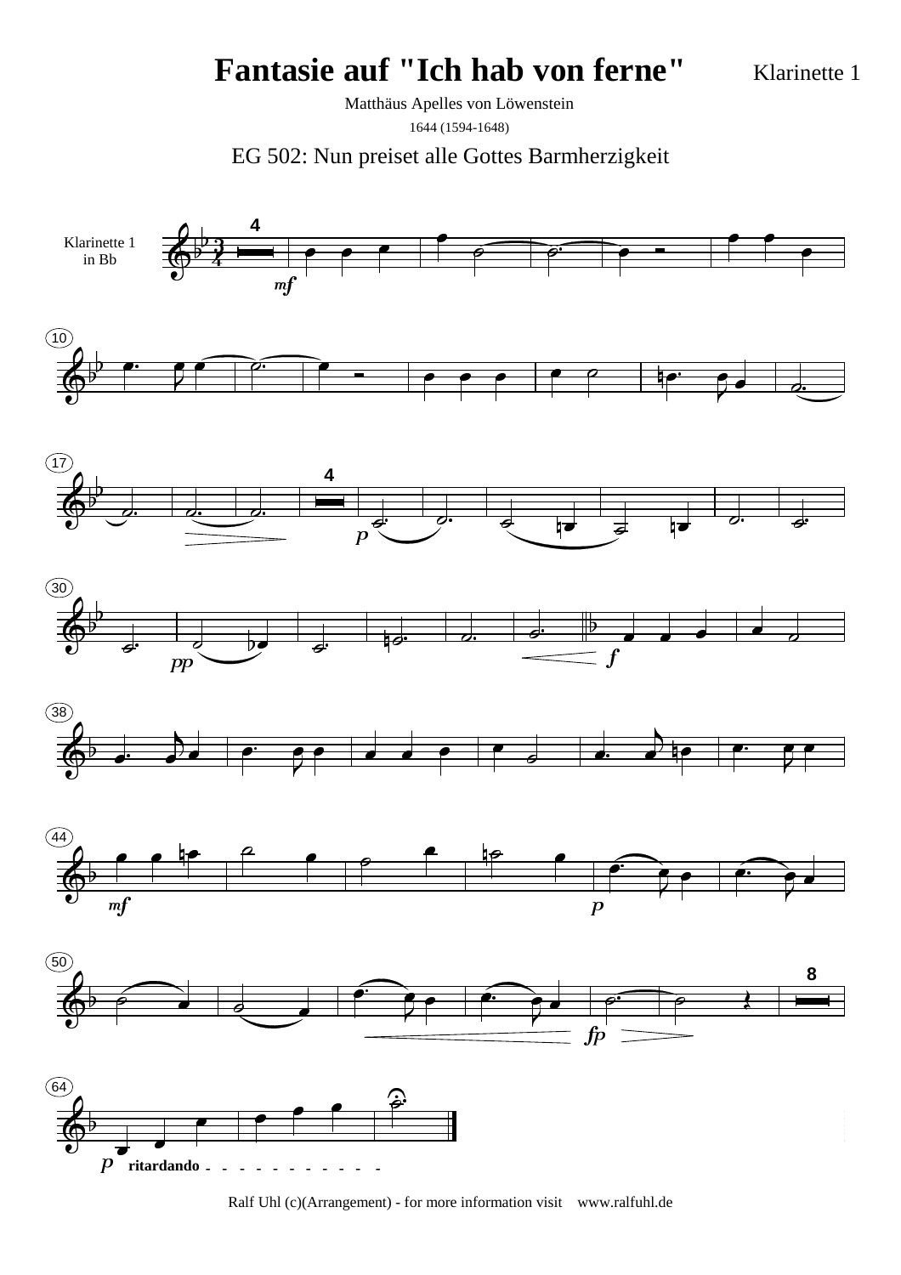Klarinette 1

Matthäus Apelles von Löwenstein 1644 (1594-1648)



Ralf Uhl (c)(Arrangement) - for more information visit www.ralfuhl.de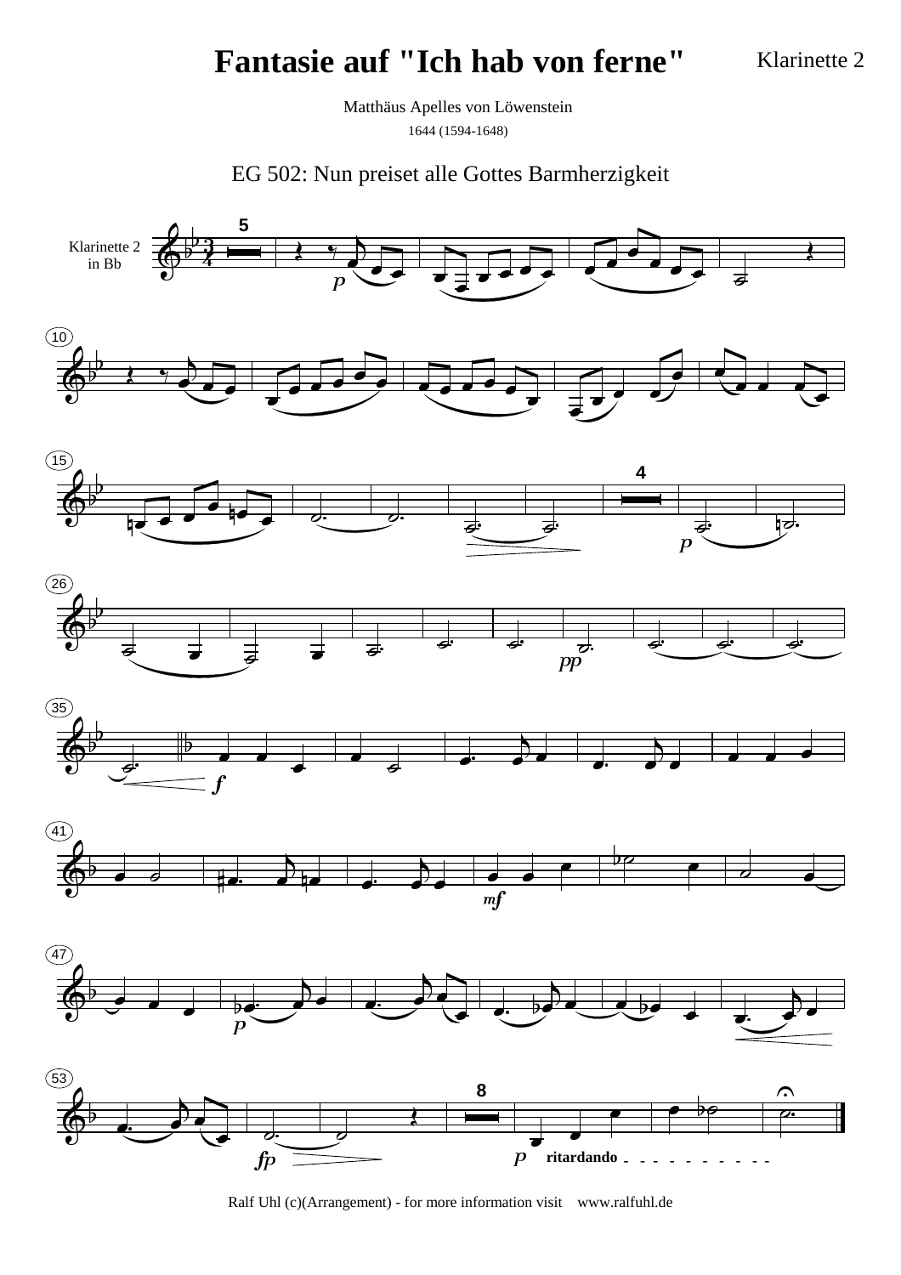Klarinette 2

Matthäus Apelles von Löwenstein 1644 (1594-1648)

EG 502: Nun preiset alle Gottes Barmherzigkeit

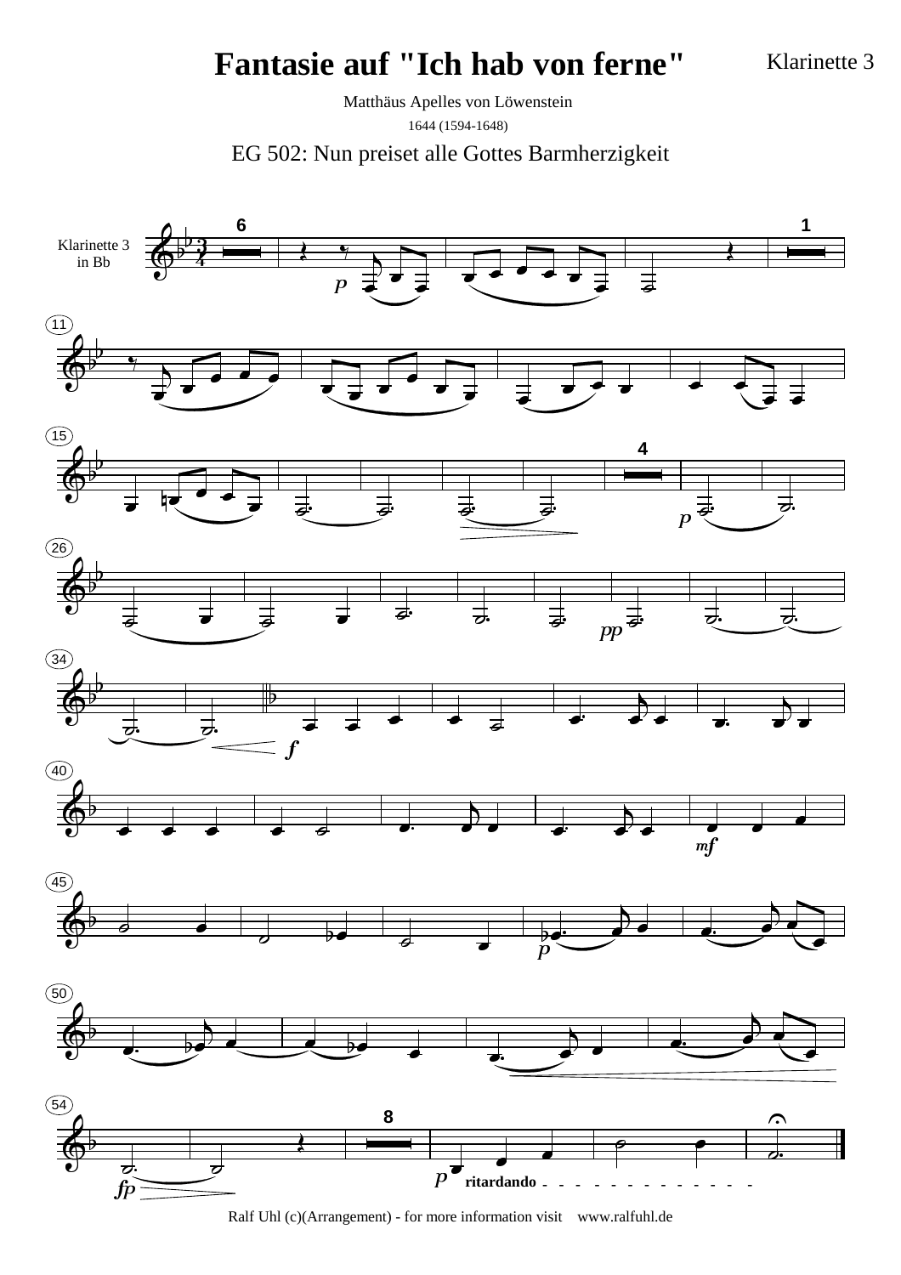Klarinette 3

Matthäus Apelles von Löwenstein 1644 (1594-1648)

EG 502: Nun preiset alle Gottes Barmherzigkeit

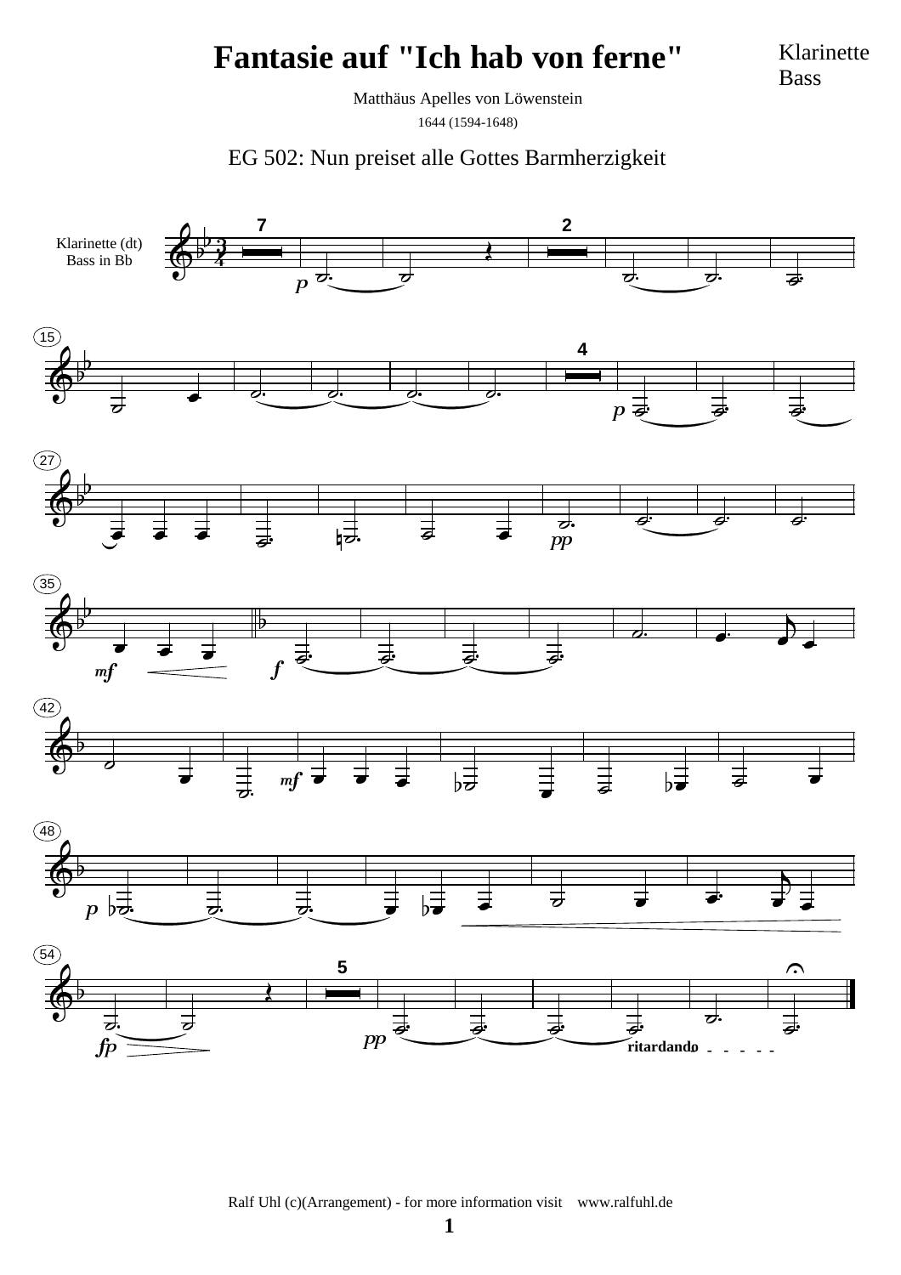Klarinette Bass

Matthäus Apelles von Löwenstein 1644 (1594-1648)

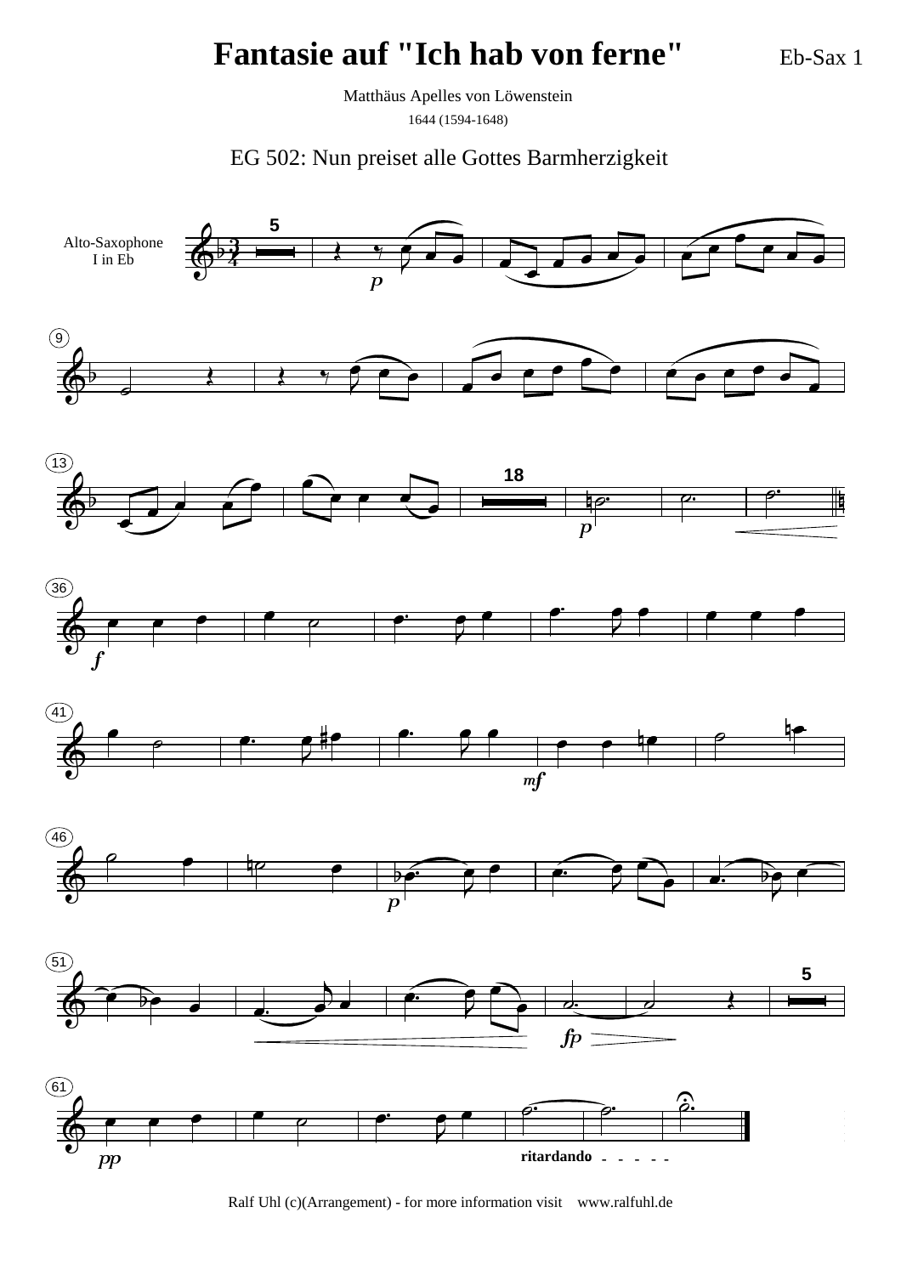Eb-Sax 1

Matthäus Apelles von Löwenstein

1644 (1594-1648)

EG 502: Nun preiset alle Gottes Barmherzigkeit

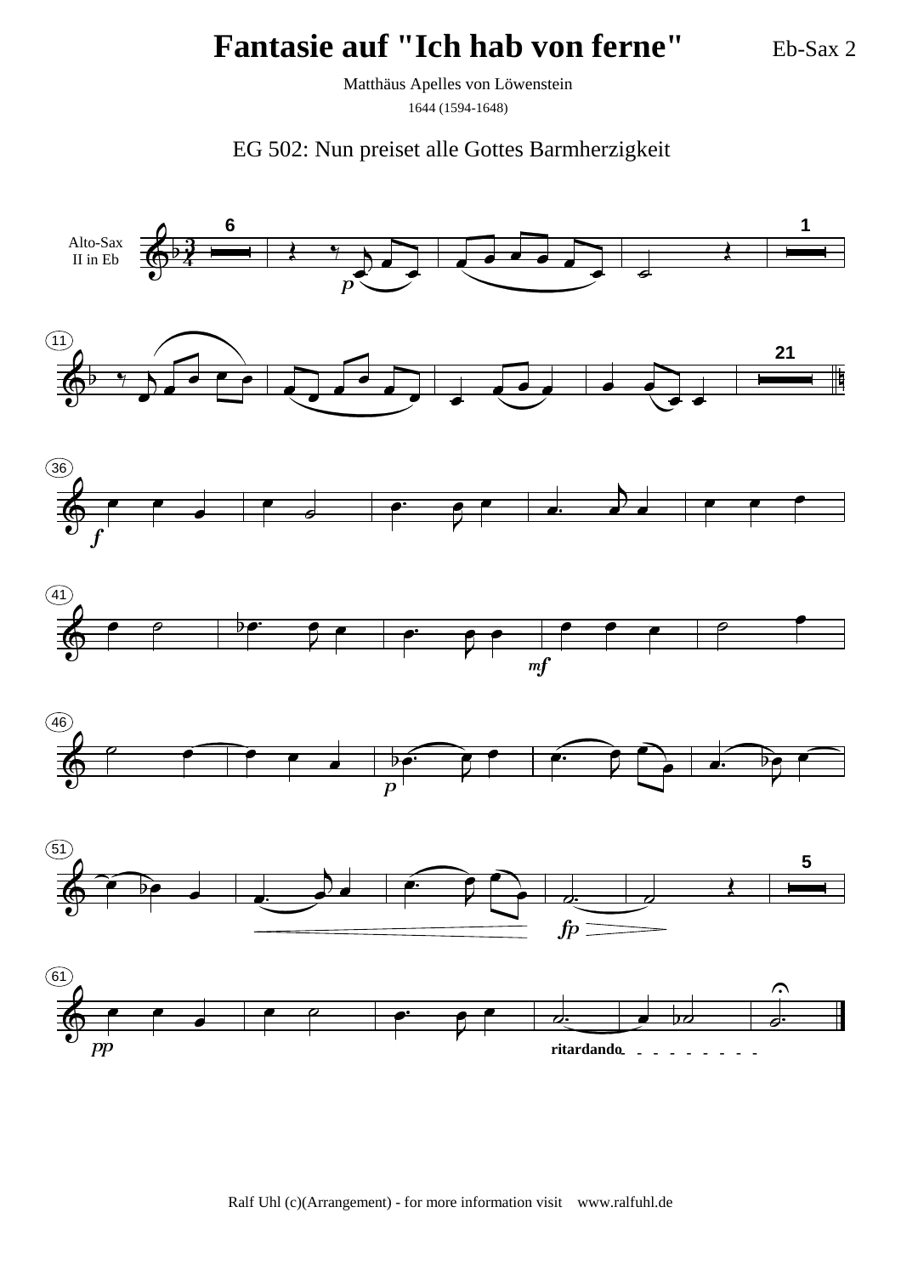Eb-Sax 2

Matthäus Apelles von Löwenstein 1644 (1594-1648)

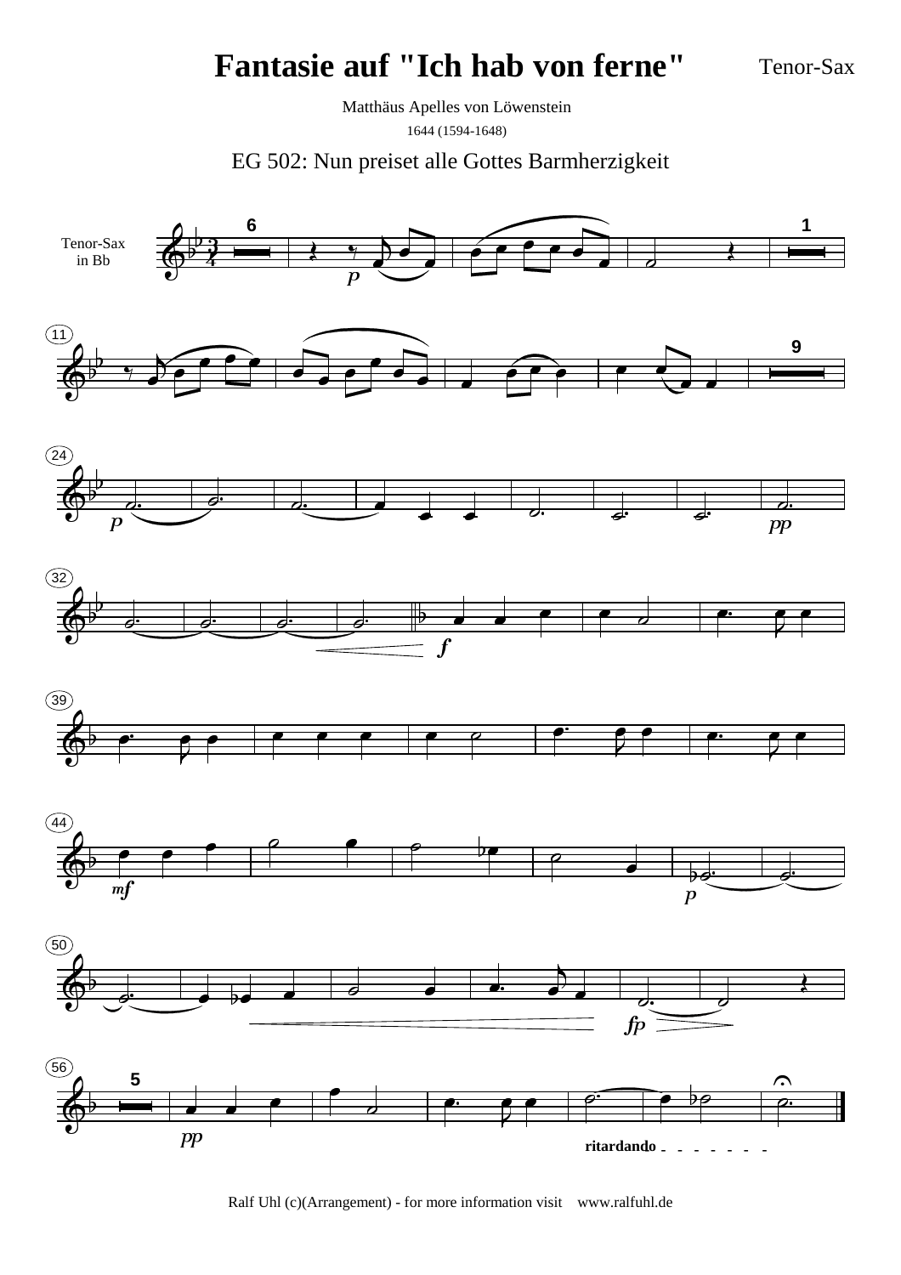Tenor-Sax

Matthäus Apelles von Löwenstein 1644 (1594-1648)

EG 502: Nun preiset alle Gottes Barmherzigkeit

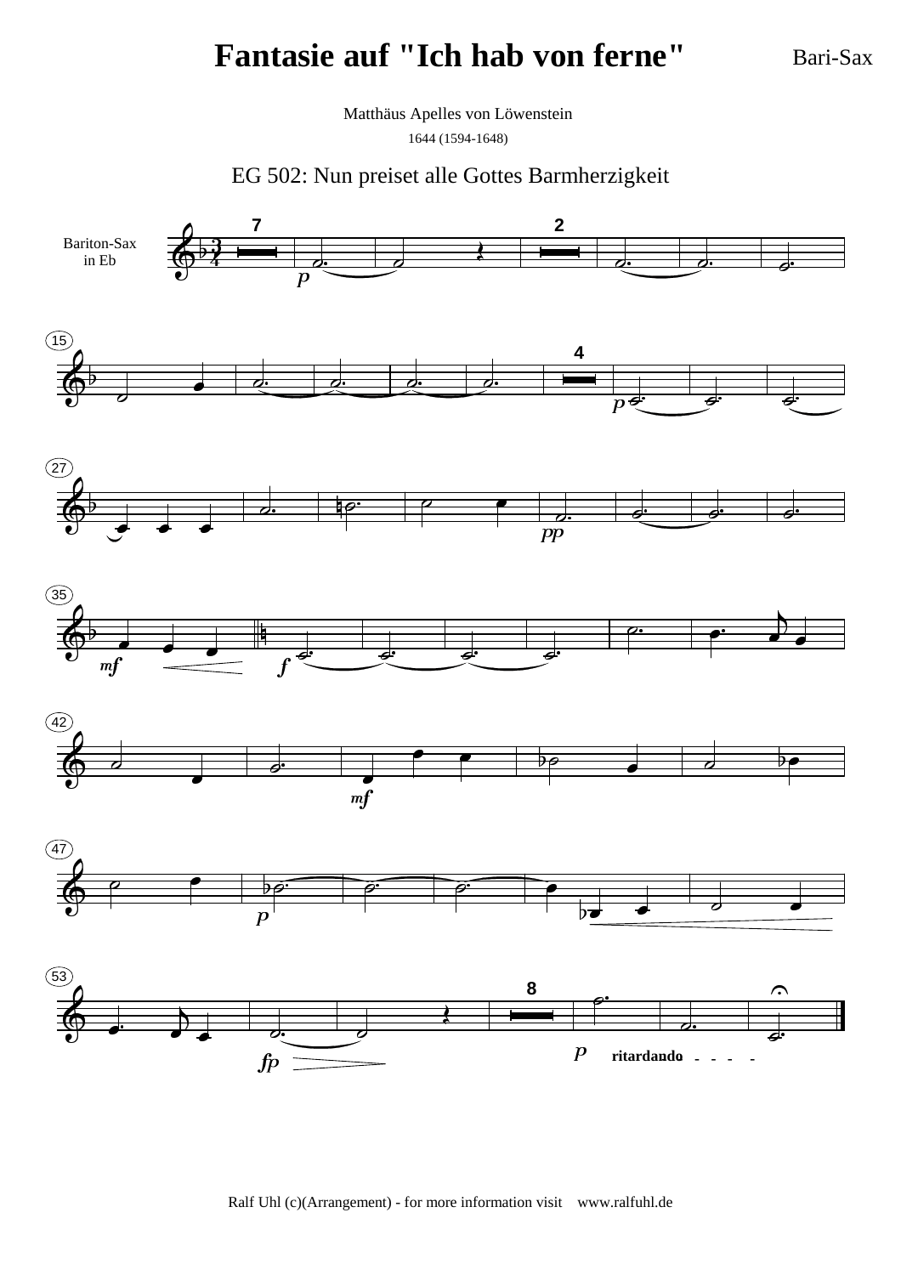Bari-Sax

Matthäus Apelles von Löwenstein 1644 (1594-1648)

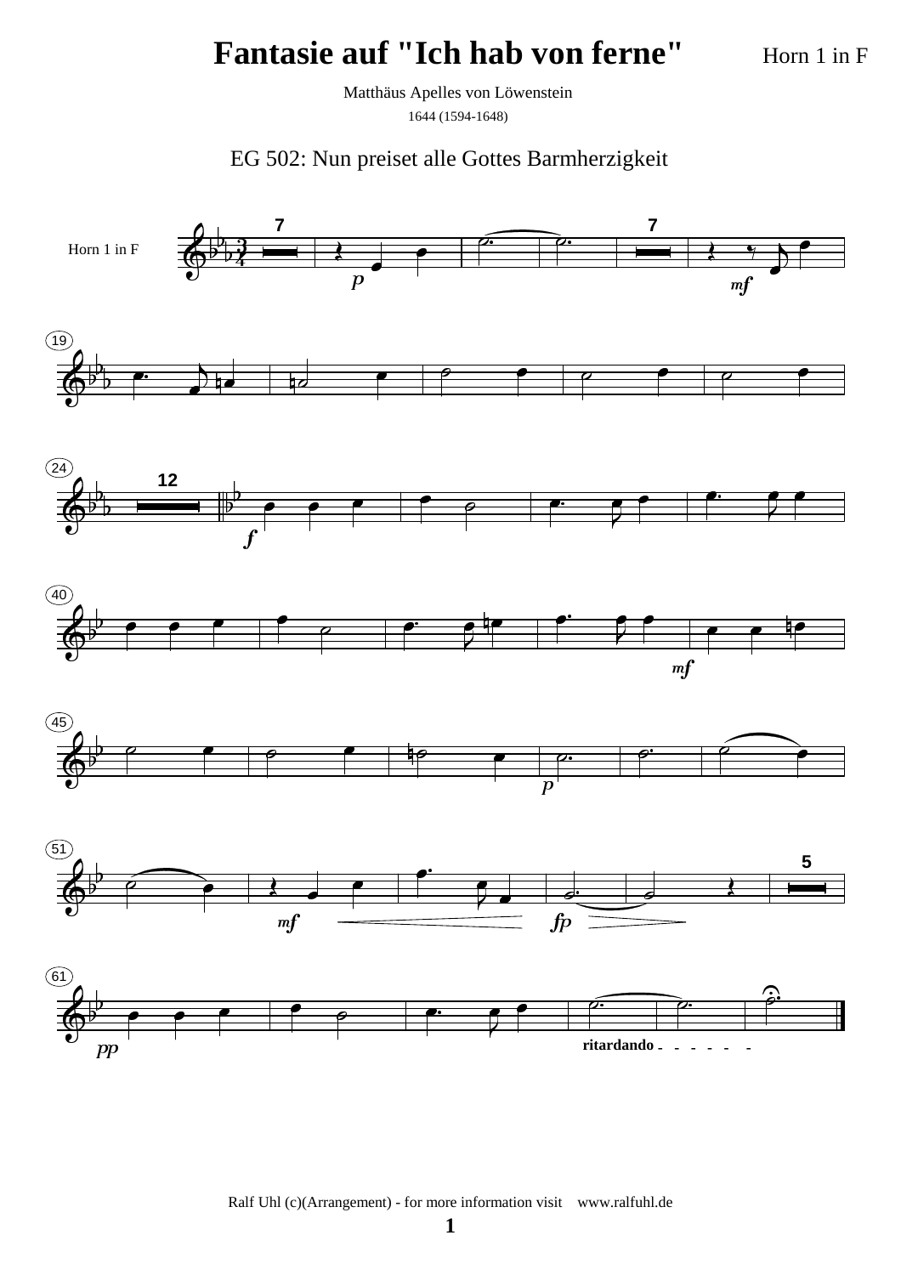Horn 1 in F

Matthäus Apelles von Löwenstein

1644 (1594-1648)

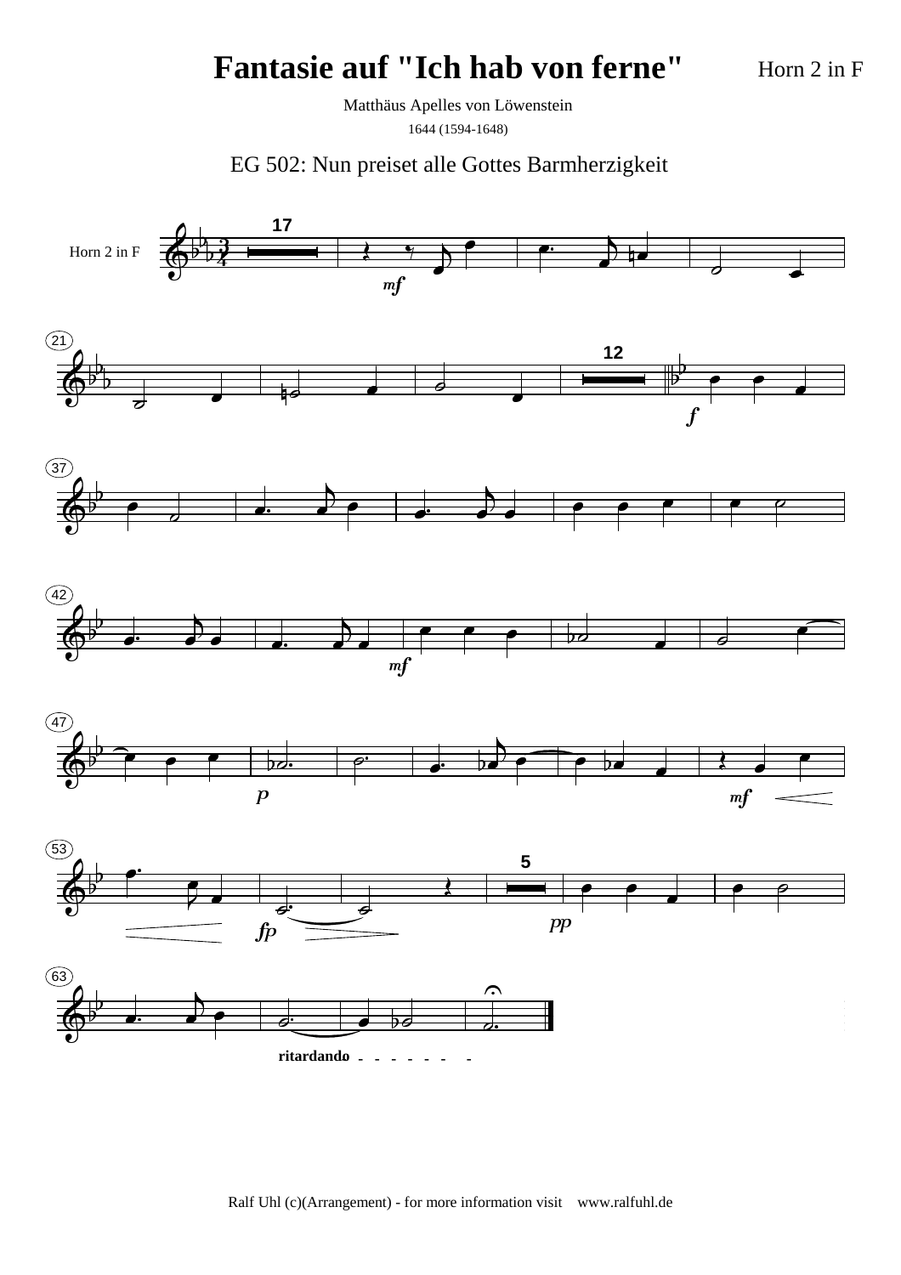Horn 2 in F

Matthäus Apelles von Löwenstein 1644 (1594-1648)

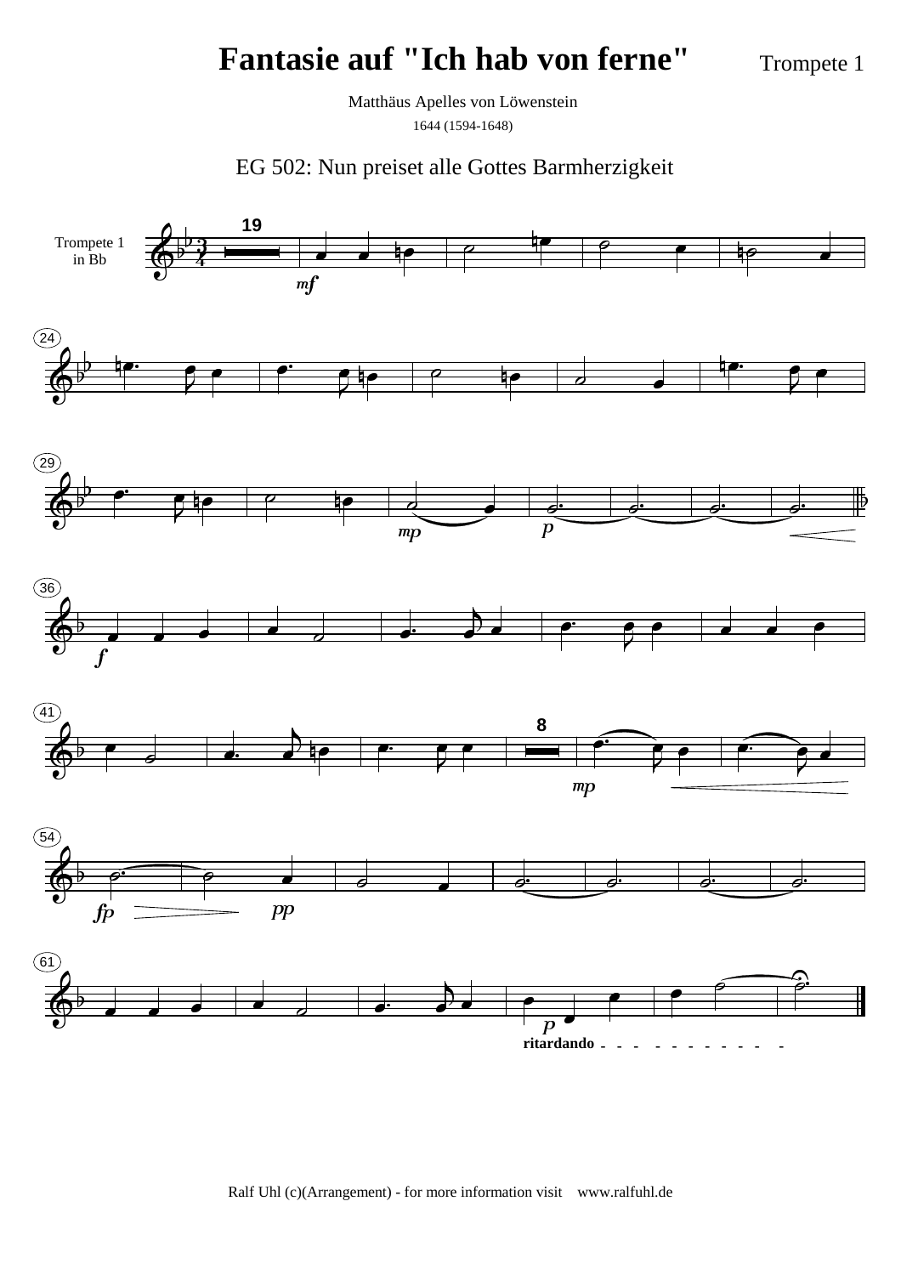Trompete 1

Matthäus Apelles von Löwenstein 1644 (1594-1648)

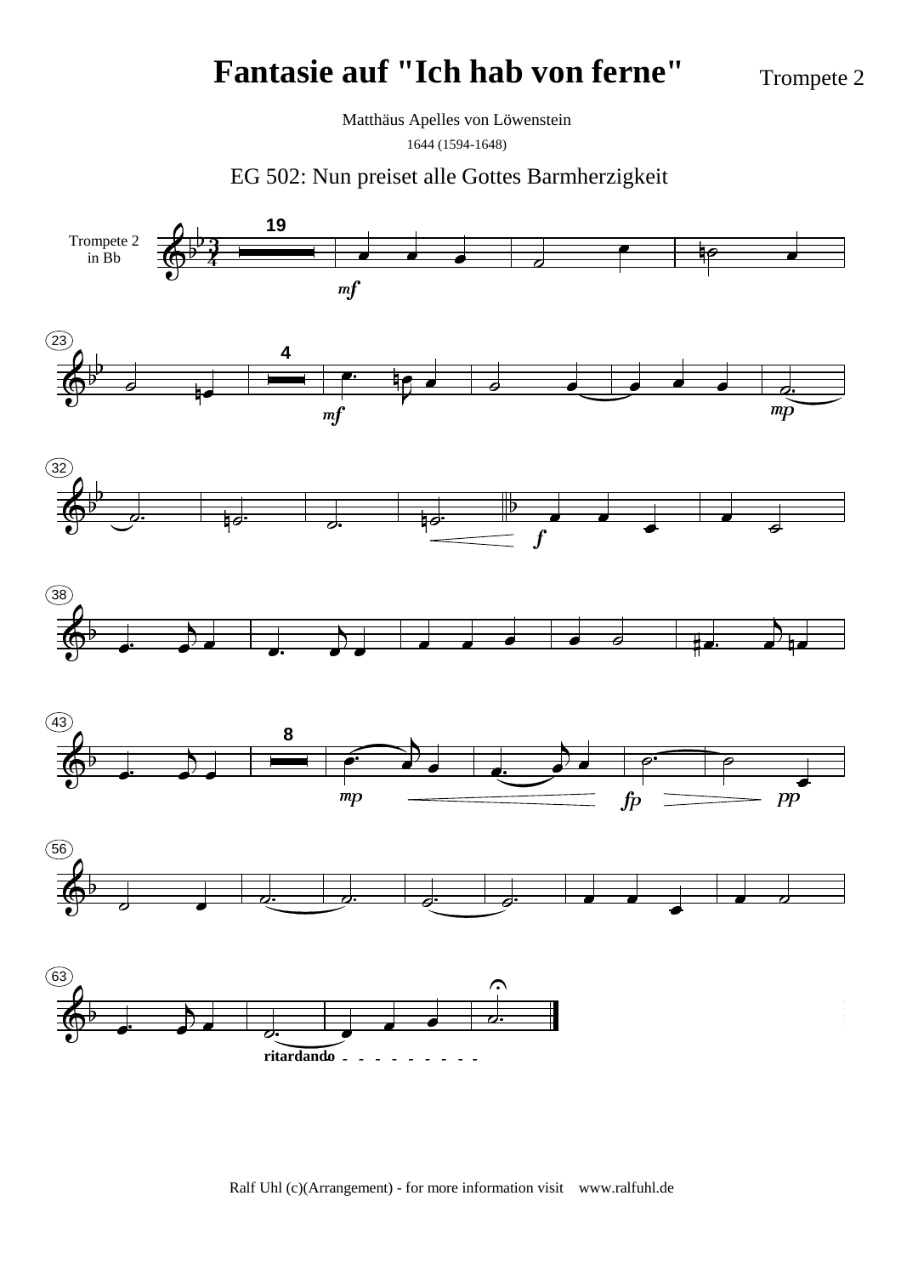Trompete 2

Matthäus Apelles von Löwenstein

1644 (1594-1648)

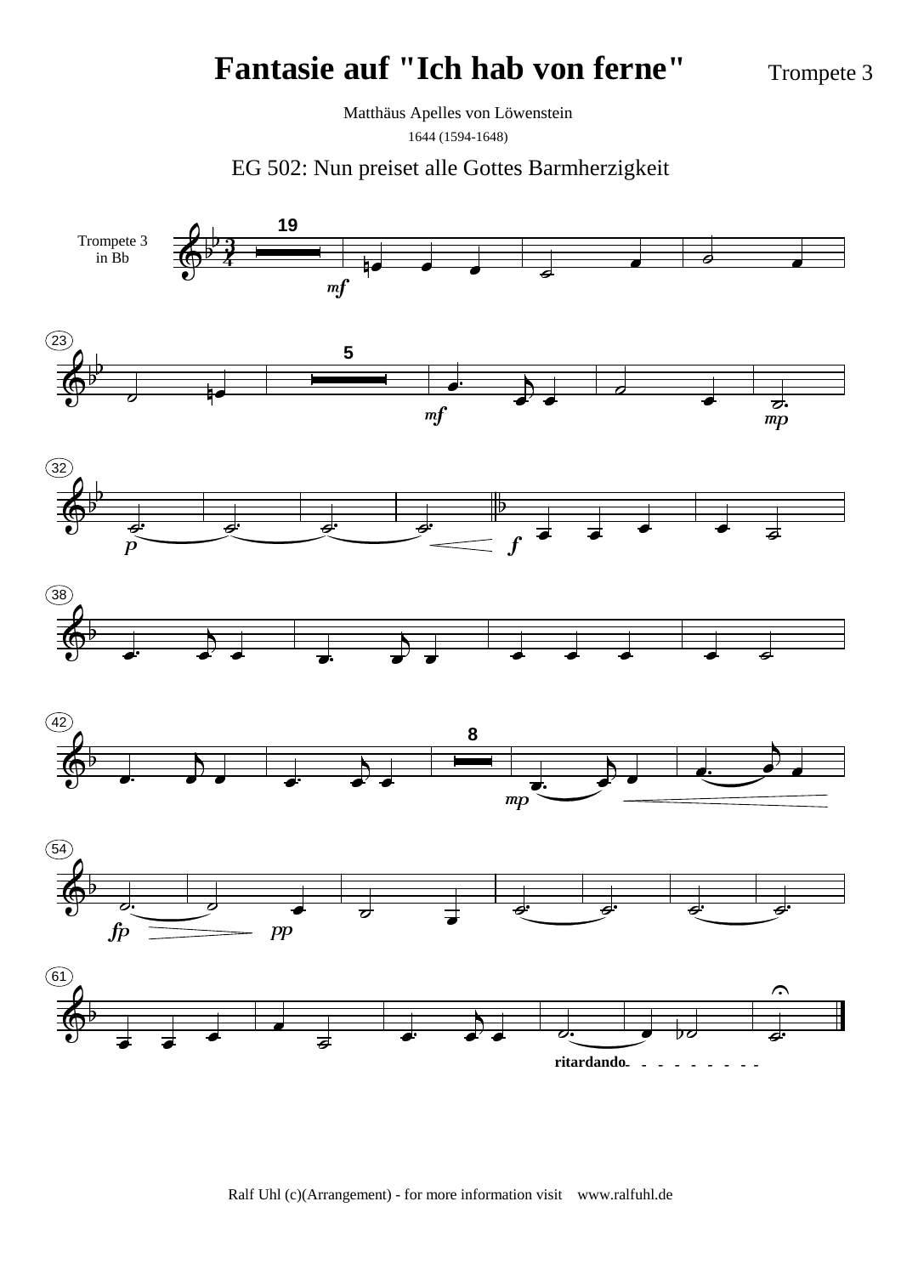Trompete 3

Matthäus Apelles von Löwenstein

1644 (1594-1648)

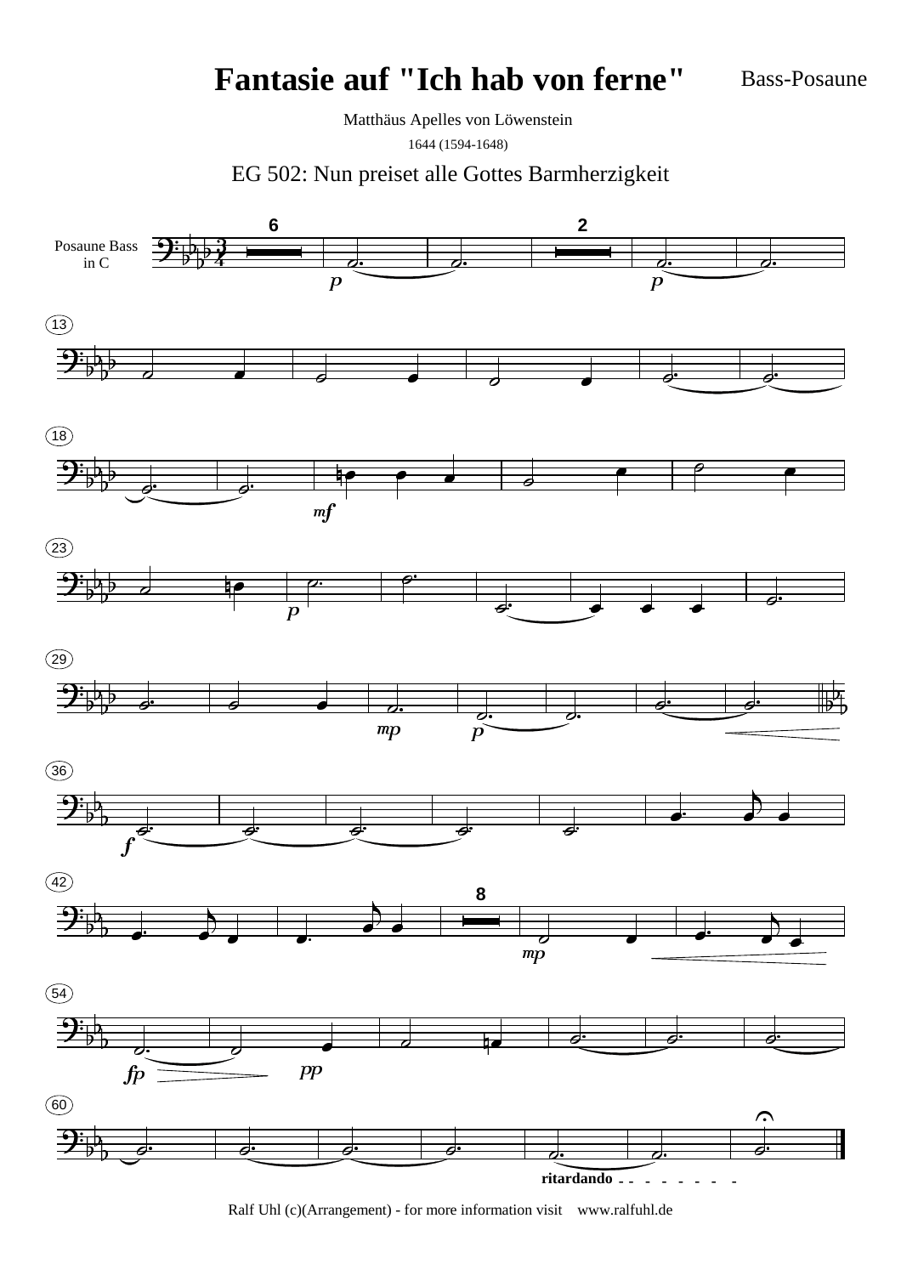Bass-Posaune

Matthäus Apelles von Löwenstein

1644 (1594-1648)

EG 502: Nun preiset alle Gottes Barmherzigkeit

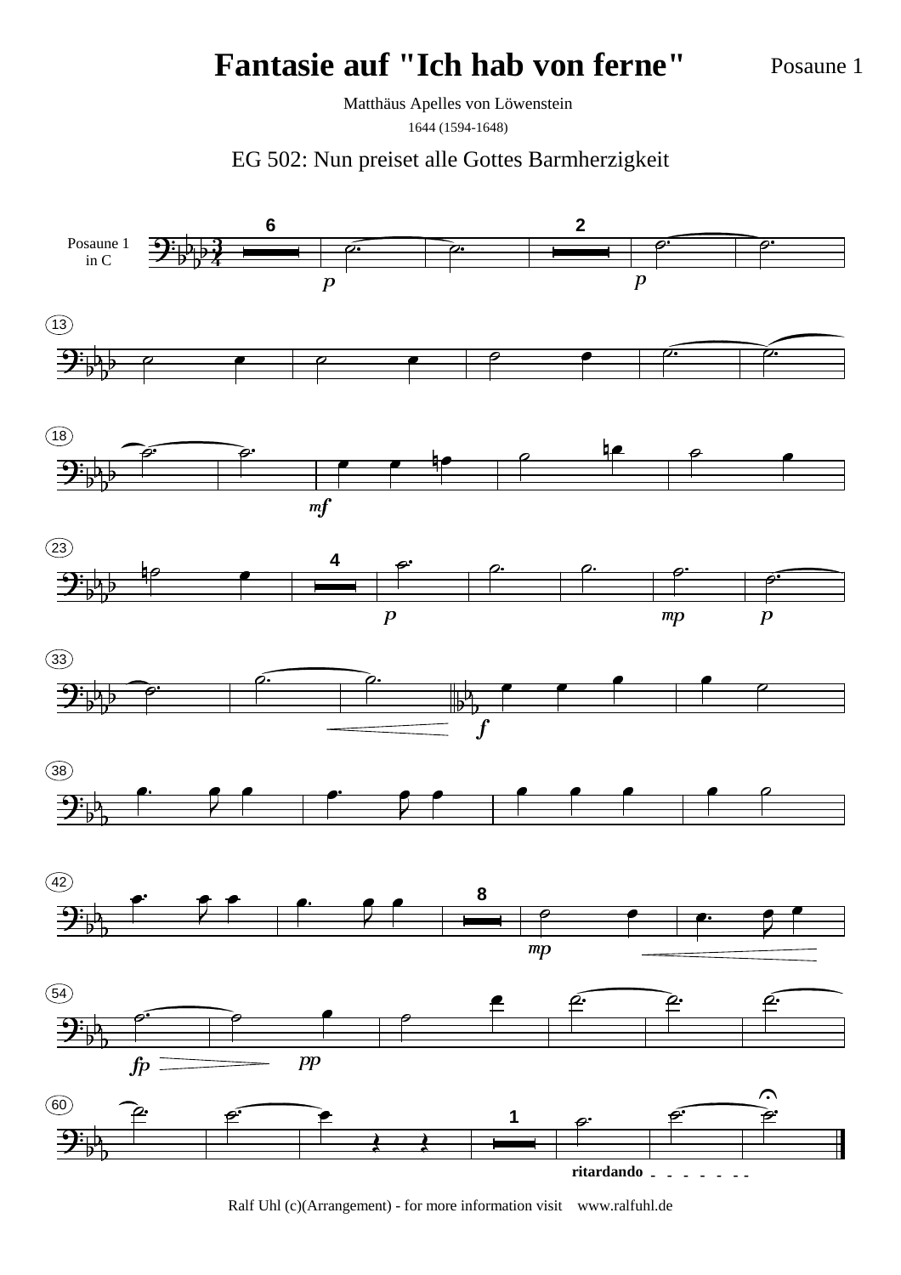Posaune 1

Matthäus Apelles von Löwenstein 1644 (1594-1648)

EG 502: Nun preiset alle Gottes Barmherzigkeit

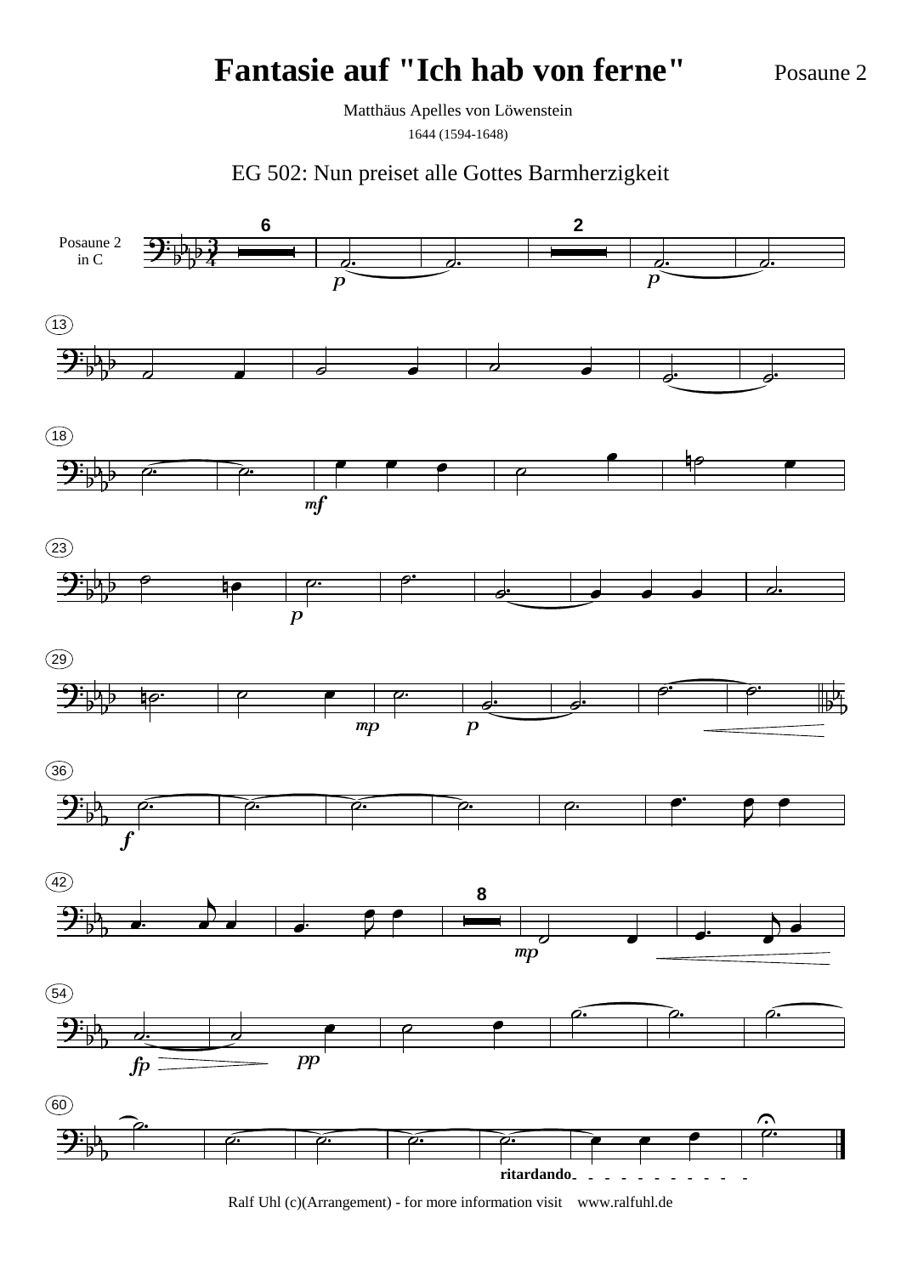Posaune 2

Matthäus Apelles von Löwenstein

1644 (1594-1648)

EG 502: Nun preiset alle Gottes Barmherzigkeit

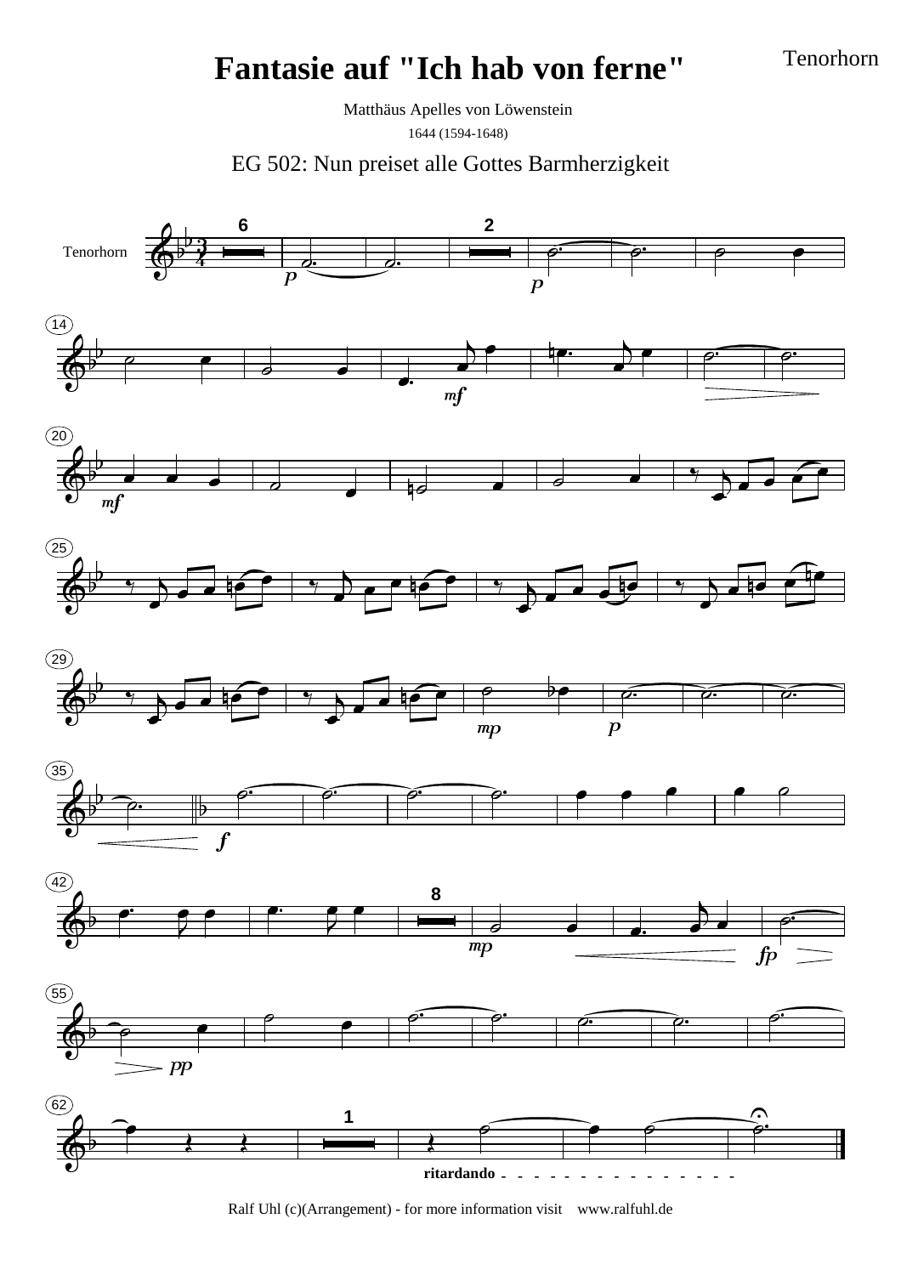Tenorhorn

Matthäus Apelles von Löwenstein 1644 (1594-1648)

EG 502: Nun preiset alle Gottes Barmherzigkeit

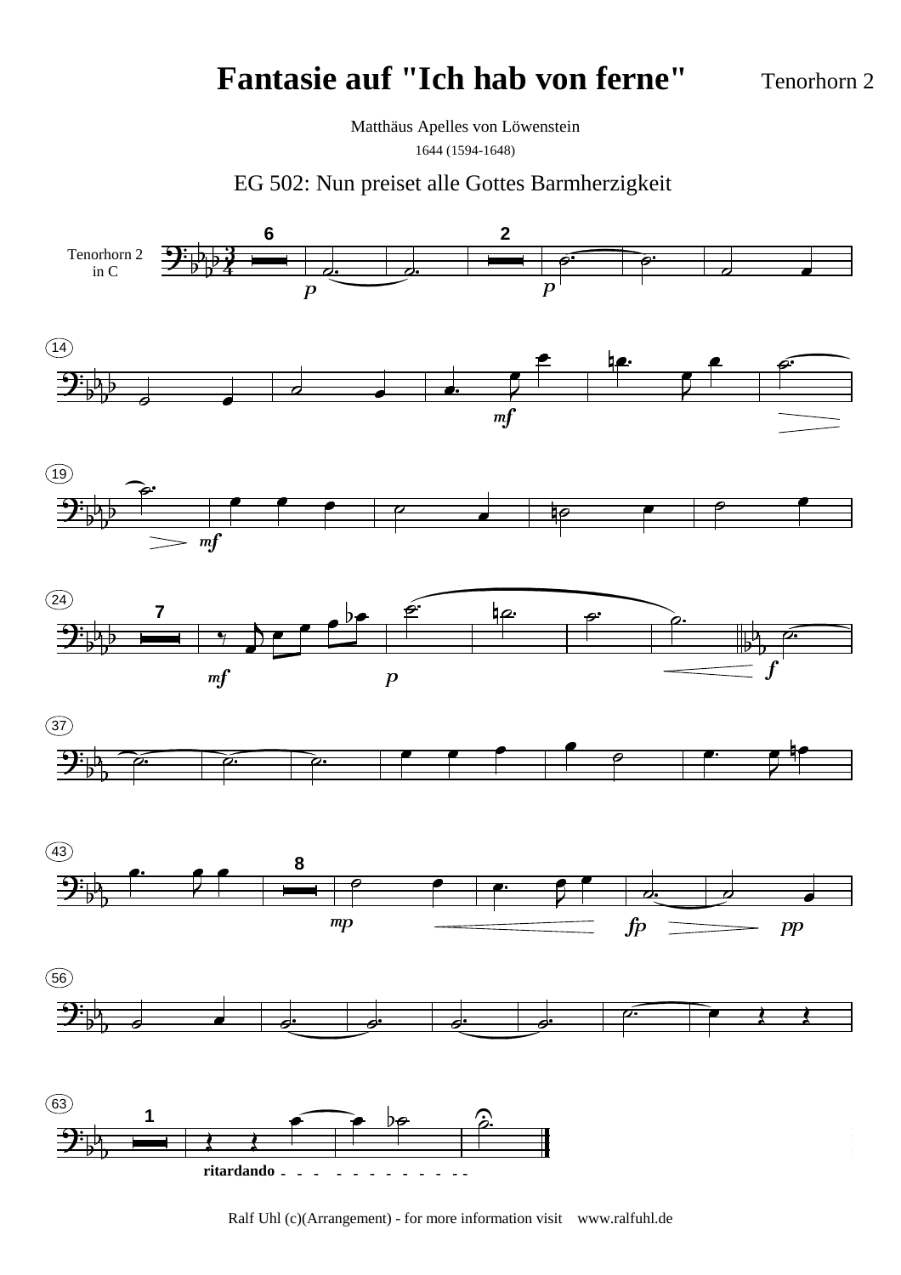Tenorhorn 2

Matthäus Apelles von Löwenstein 1644 (1594-1648)

EG 502: Nun preiset alle Gottes Barmherzigkeit

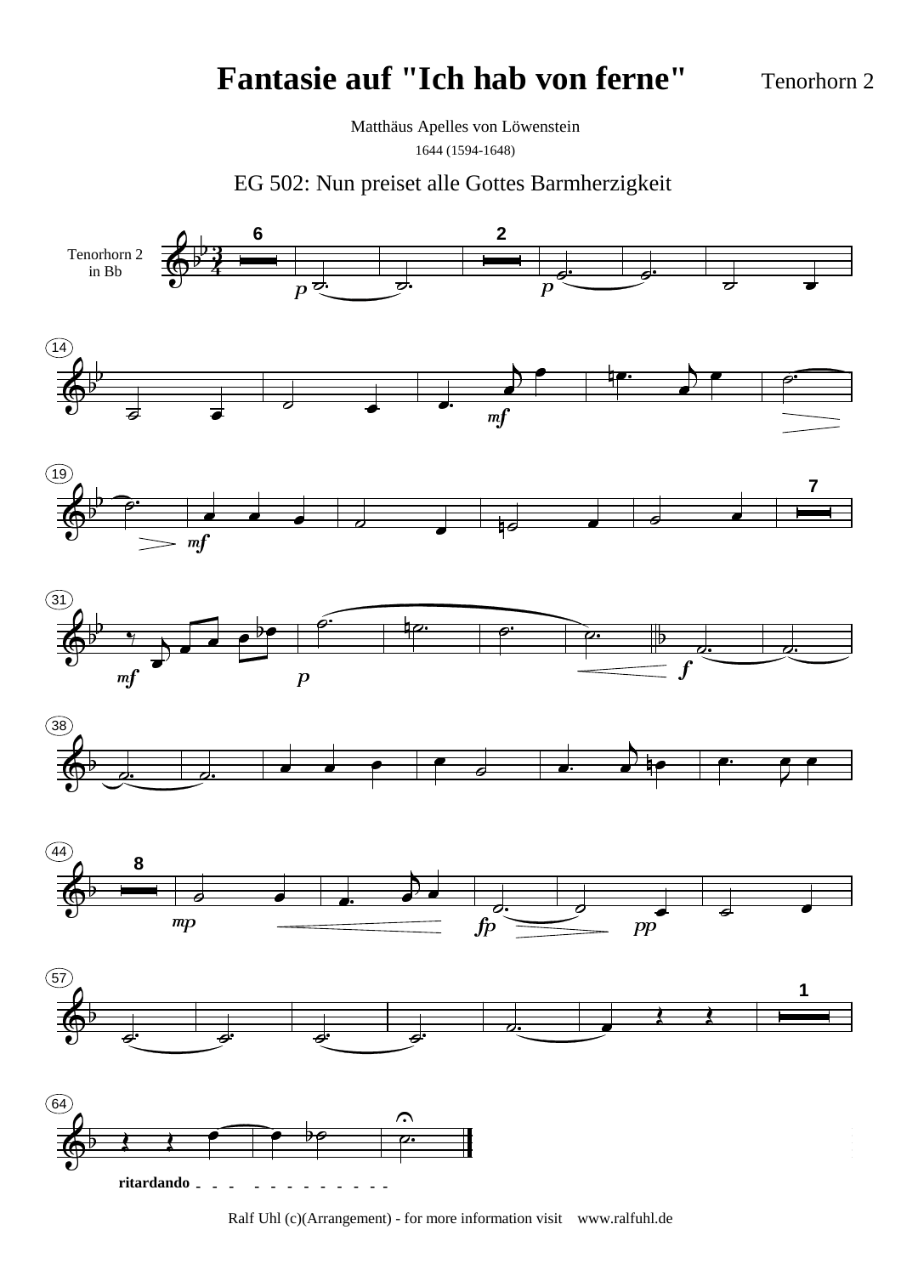Tenorhorn 2

Matthäus Apelles von Löwenstein 1644 (1594-1648)

EG 502: Nun preiset alle Gottes Barmherzigkeit

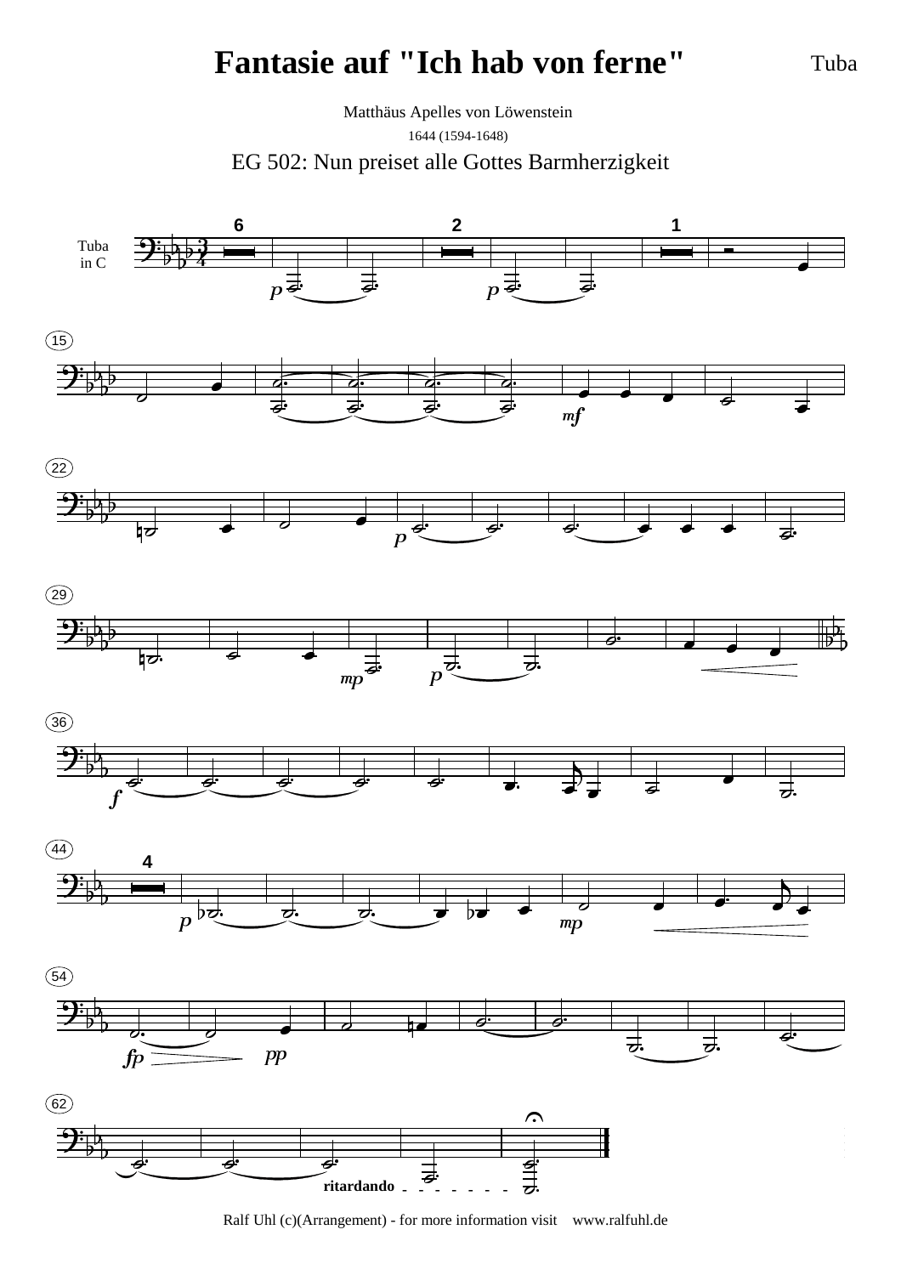Tuba

EG 502: Nun preiset alle Gottes Barmherzigkeit Matthäus Apelles von Löwenstein 1644 (1594-1648)



Ralf Uhl (c)(Arrangement) - for more information visit www.ralfuhl.de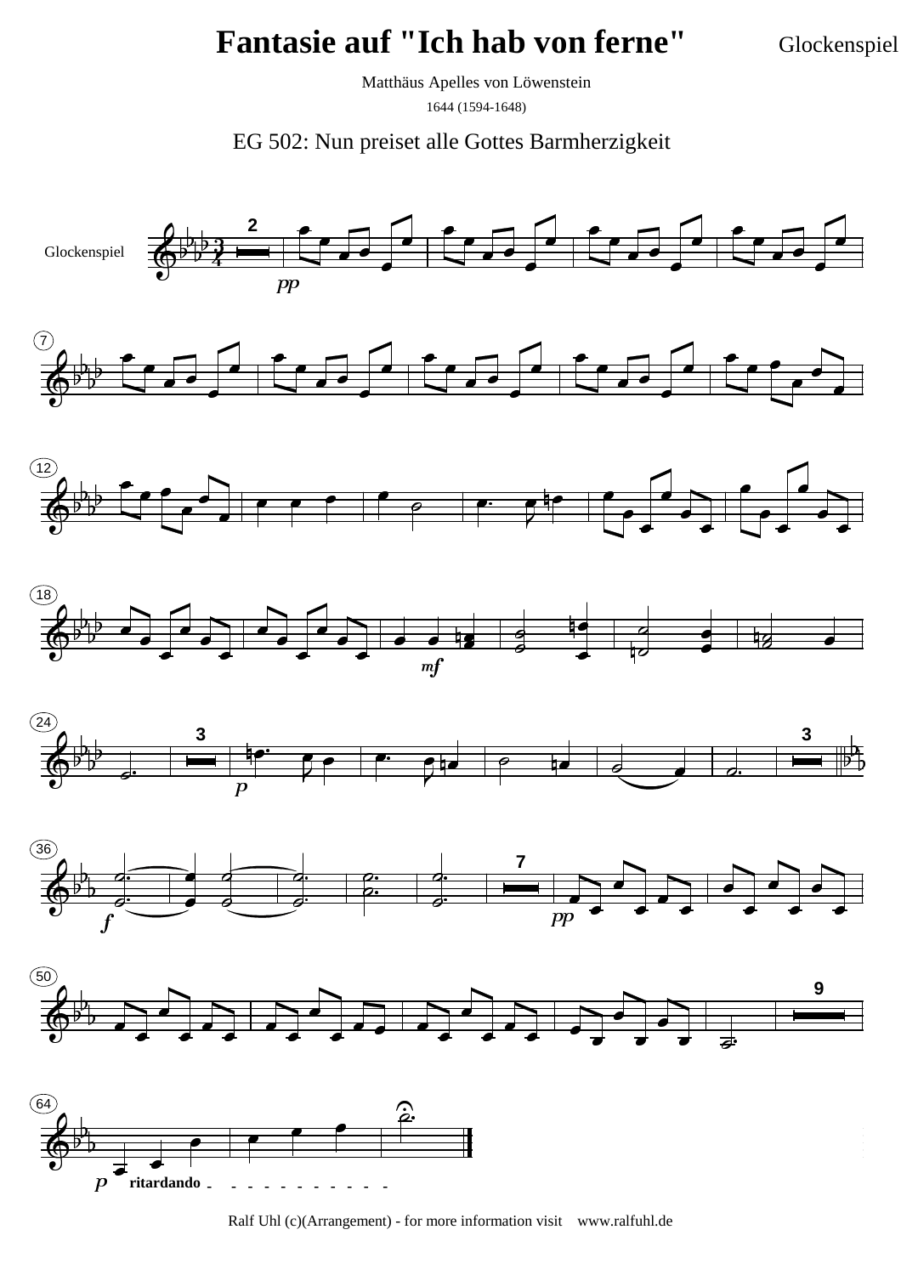Glockenspiel

Matthäus Apelles von Löwenstein 1644 (1594-1648)



Ralf Uhl (c)(Arrangement) - for more information visit www.ralfuhl.de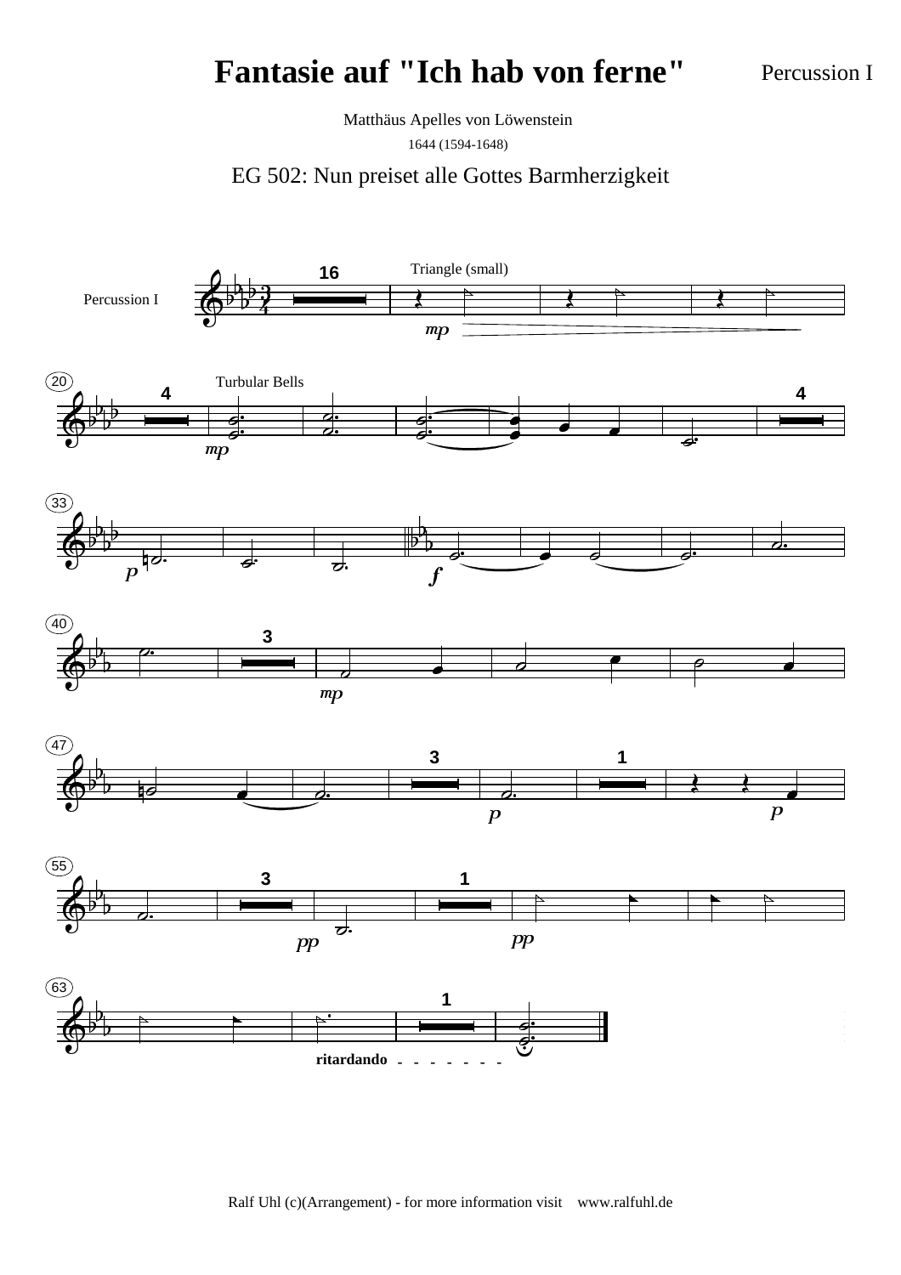Percussion I

Matthäus Apelles von Löwenstein

1644 (1594-1648)

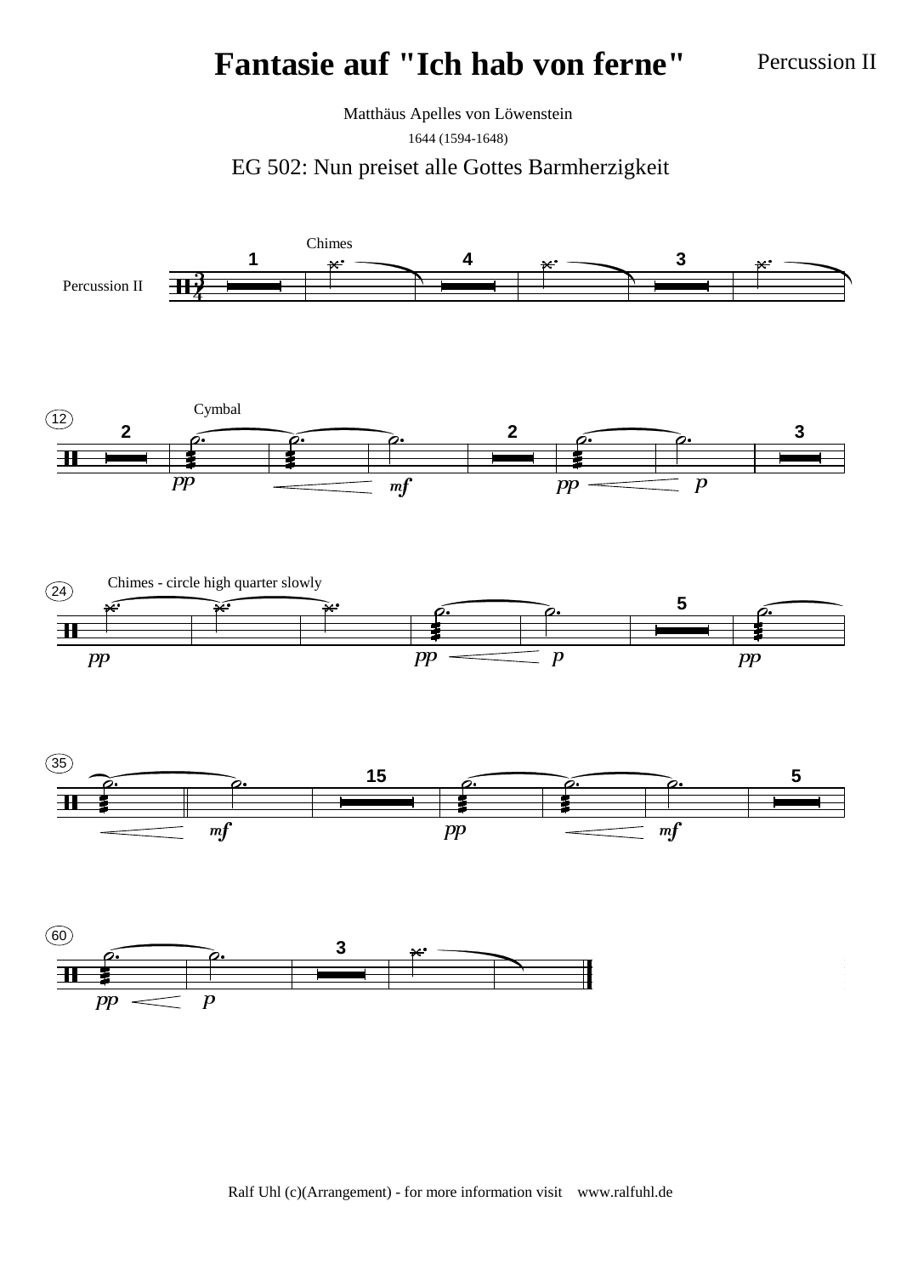Percussion II

Matthäus Apelles von Löwenstein 1644 (1594-1648)